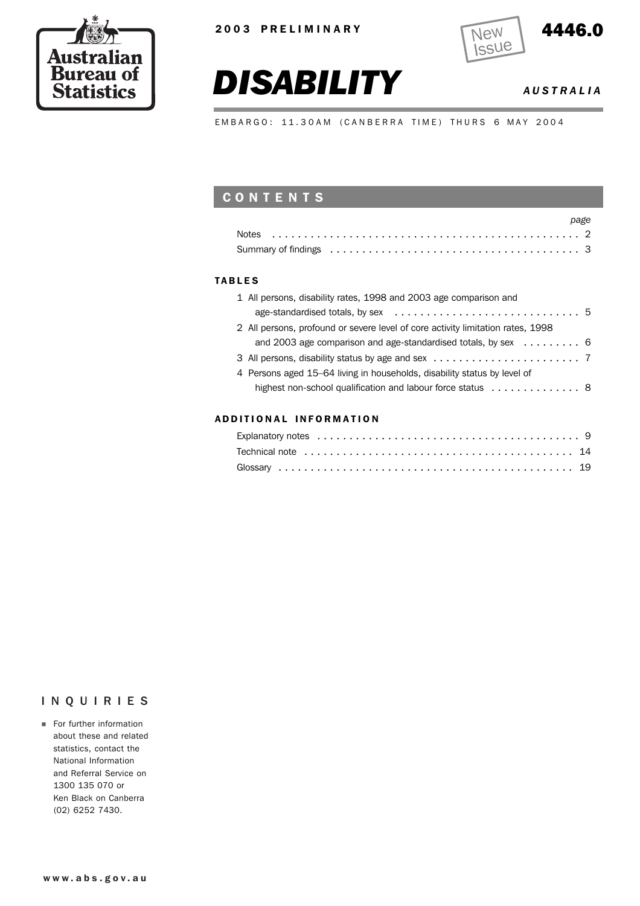





*DISABILITY AUSTRALIA*

EMBARGO: 11.30AM (CANBERRA TIME) THURS 6 MAY 2004

# **CONTENTS**

| page |
|------|
|      |
|      |

#### TABLES

| 1 All persons, disability rates, 1998 and 2003 age comparison and                                       |  |
|---------------------------------------------------------------------------------------------------------|--|
| age-standardised totals, by sex $\ldots \ldots \ldots \ldots \ldots \ldots \ldots \ldots \ldots \ldots$ |  |
| 2 All persons, profound or severe level of core activity limitation rates, 1998                         |  |
| and 2003 age comparison and age-standardised totals, by sex $\ldots \ldots$                             |  |
|                                                                                                         |  |
| 4 Persons aged 15-64 living in households, disability status by level of                                |  |
|                                                                                                         |  |
|                                                                                                         |  |

#### ADD ITIONAL INFORMATION

### INQUIRIES

**For further information** about these and related statistics, contact the National Information and Referral Service on 1300 135 070 or Ken Black on Canberra (02) 6252 7430.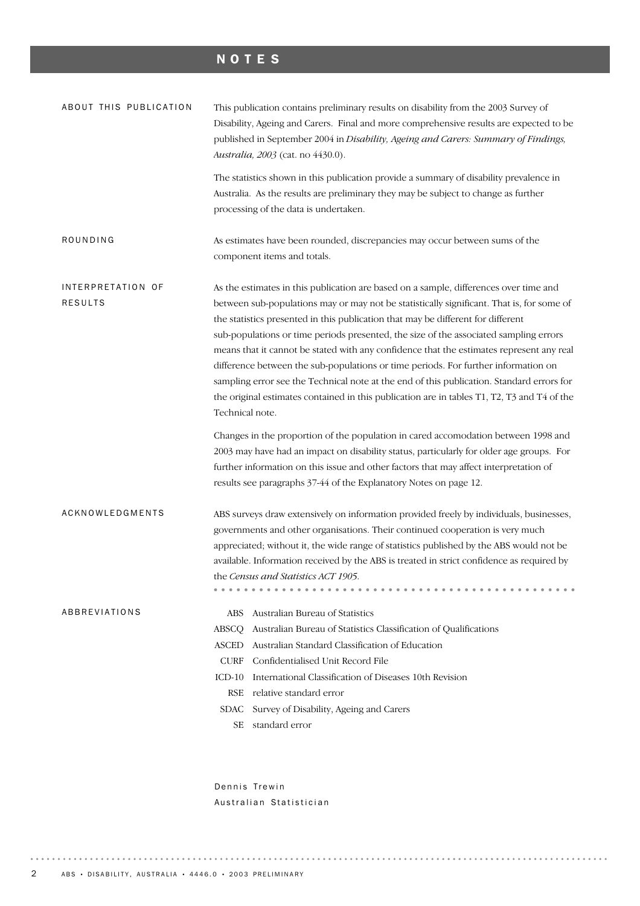# NOTES

| ABOUT THIS PUBLICATION              | This publication contains preliminary results on disability from the 2003 Survey of<br>Disability, Ageing and Carers. Final and more comprehensive results are expected to be<br>published in September 2004 in Disability, Ageing and Carers: Summary of Findings,<br>Australia, 2003 (cat. no 4430.0).                                                                                                                                                                                                                                                                                                                                                                                                                                                         |
|-------------------------------------|------------------------------------------------------------------------------------------------------------------------------------------------------------------------------------------------------------------------------------------------------------------------------------------------------------------------------------------------------------------------------------------------------------------------------------------------------------------------------------------------------------------------------------------------------------------------------------------------------------------------------------------------------------------------------------------------------------------------------------------------------------------|
|                                     | The statistics shown in this publication provide a summary of disability prevalence in<br>Australia. As the results are preliminary they may be subject to change as further<br>processing of the data is undertaken.                                                                                                                                                                                                                                                                                                                                                                                                                                                                                                                                            |
| ROUNDING                            | As estimates have been rounded, discrepancies may occur between sums of the<br>component items and totals.                                                                                                                                                                                                                                                                                                                                                                                                                                                                                                                                                                                                                                                       |
| INTERPRETATION OF<br><b>RESULTS</b> | As the estimates in this publication are based on a sample, differences over time and<br>between sub-populations may or may not be statistically significant. That is, for some of<br>the statistics presented in this publication that may be different for different<br>sub-populations or time periods presented, the size of the associated sampling errors<br>means that it cannot be stated with any confidence that the estimates represent any real<br>difference between the sub-populations or time periods. For further information on<br>sampling error see the Technical note at the end of this publication. Standard errors for<br>the original estimates contained in this publication are in tables T1, T2, T3 and T4 of the<br>Technical note. |
|                                     | Changes in the proportion of the population in cared accomodation between 1998 and<br>2003 may have had an impact on disability status, particularly for older age groups. For<br>further information on this issue and other factors that may affect interpretation of<br>results see paragraphs 37-44 of the Explanatory Notes on page 12.                                                                                                                                                                                                                                                                                                                                                                                                                     |
| ACKNOWLEDGMENTS                     | ABS surveys draw extensively on information provided freely by individuals, businesses,<br>governments and other organisations. Their continued cooperation is very much<br>appreciated; without it, the wide range of statistics published by the ABS would not be<br>available. Information received by the ABS is treated in strict confidence as required by<br>the Census and Statistics ACT 1905.                                                                                                                                                                                                                                                                                                                                                          |
| ABBREVIATIONS                       | Australian Bureau of Statistics<br>ABS<br>Australian Bureau of Statistics Classification of Qualifications<br>ABSCO<br>Australian Standard Classification of Education<br><b>ASCED</b><br>Confidentialised Unit Record File<br><b>CURF</b><br>International Classification of Diseases 10th Revision<br>$ICD-10$<br>relative standard error<br><b>RSE</b><br>Survey of Disability, Ageing and Carers<br>SDAC<br>standard error<br>SЕ                                                                                                                                                                                                                                                                                                                             |

Dennis Trewin Australian Statistician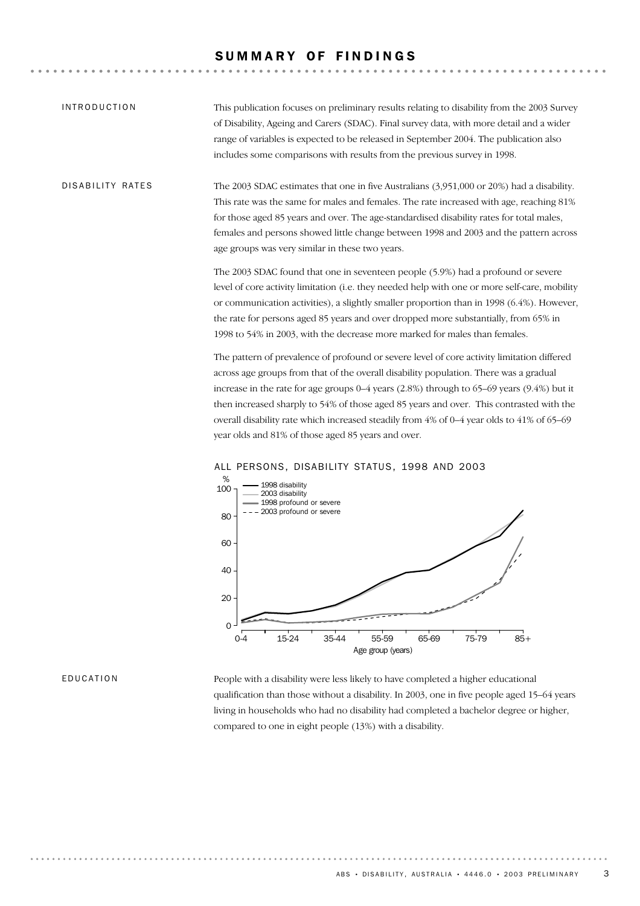### SUMMARY OF FINDINGS

This publication focuses on preliminary results relating to disability from the 2003 Survey of Disability, Ageing and Carers (SDAC). Final survey data, with more detail and a wider range of variables is expected to be released in September 2004. The publication also includes some comparisons with results from the previous survey in 1998. INTRODUCTION

The 2003 SDAC estimates that one in five Australians (3,951,000 or 20%) had a disability. This rate was the same for males and females. The rate increased with age, reaching 81% for those aged 85 years and over. The age-standardised disability rates for total males, females and persons showed little change between 1998 and 2003 and the pattern across age groups was very similar in these two years. DISABILITY RATES

> The 2003 SDAC found that one in seventeen people (5.9%) had a profound or severe level of core activity limitation (i.e. they needed help with one or more self-care, mobility or communication activities), a slightly smaller proportion than in 1998  $(6.4%)$ . However, the rate for persons aged 85 years and over dropped more substantially, from 65% in 1998 to 54% in 2003, with the decrease more marked for males than females.

The pattern of prevalence of profound or severe level of core activity limitation differed across age groups from that of the overall disability population. There was a gradual increase in the rate for age groups 0–4 years (2.8%) through to 65–69 years (9.4%) but it then increased sharply to 54% of those aged 85 years and over. This contrasted with the overall disability rate which increased steadily from 4% of 0–4 year olds to 41% of 65–69 year olds and 81% of those aged 85 years and over.



#### ALL PERSONS, DISABILITY STATUS, 1998 AND 2003

#### EDUCATION

People with a disability were less likely to have completed a higher educational qualification than those without a disability. In 2003, one in five people aged 15–64 years living in households who had no disability had completed a bachelor degree or higher, compared to one in eight people (13%) with a disability.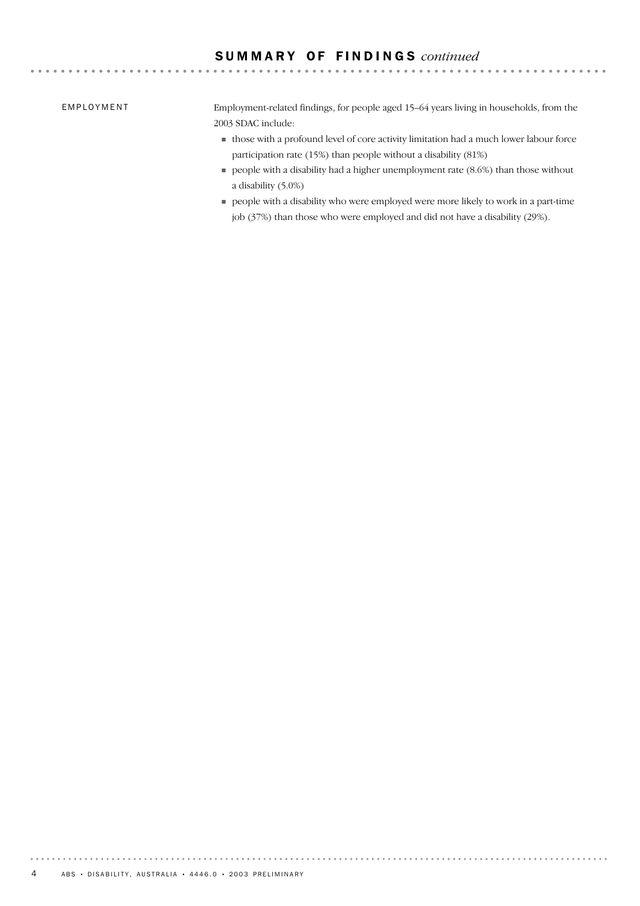# S U M M A R Y O F F I N D I N G S *continued*

EMPLOYMENT

Employment-related findings, for people aged 15–64 years living in households, from the 2003 SDAC include:

- ! those with a profound level of core activity limitation had a much lower labour force participation rate (15%) than people without a disability (81%)
- $\blacksquare$  people with a disability had a higher unemployment rate (8.6%) than those without a disability (5.0%)
- ! people with a disability who were employed were more likely to work in a part-time job (37%) than those who were employed and did not have a disability (29%).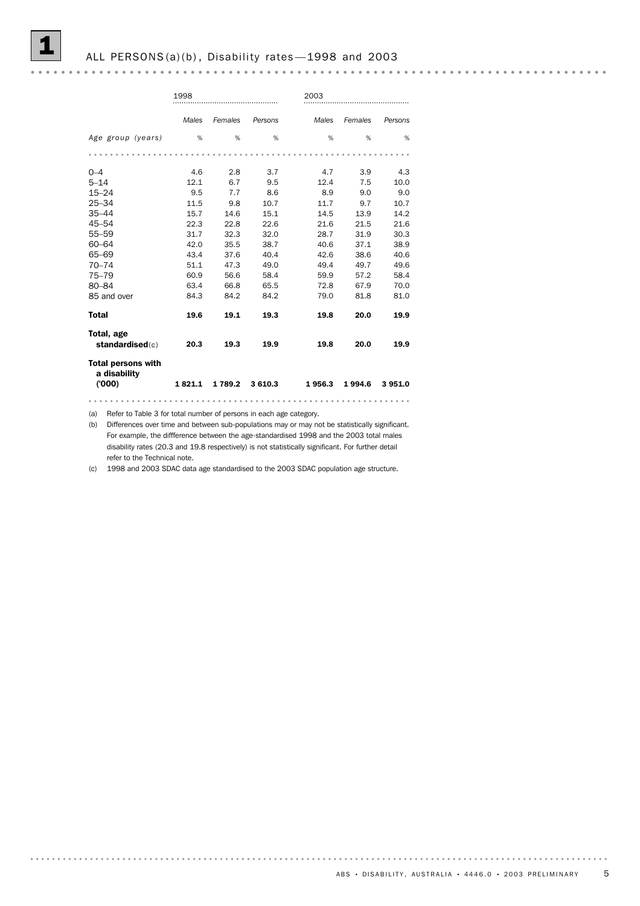#### 

|                                                    | 1998   |         |         | 2003   |         |         |
|----------------------------------------------------|--------|---------|---------|--------|---------|---------|
|                                                    | Males  | Females | Persons | Males  | Females | Persons |
| Age group (years)                                  | %      | %       | %       | %      | %       | %       |
|                                                    |        |         |         |        |         |         |
| $0 - 4$                                            | 4.6    | 2.8     | 3.7     | 4.7    | 3.9     | 4.3     |
| $5 - 14$                                           | 12.1   | 6.7     | 9.5     | 12.4   | 7.5     | 10.0    |
| $15 - 24$                                          | 9.5    | 7.7     | 8.6     | 8.9    | 9.0     | 9.0     |
| $25 - 34$                                          | 11.5   | 9.8     | 10.7    | 11.7   | 9.7     | 10.7    |
| $35 - 44$                                          | 15.7   | 14.6    | 15.1    | 14.5   | 13.9    | 14.2    |
| 45-54                                              | 22.3   | 22.8    | 22.6    | 21.6   | 21.5    | 21.6    |
| $55 - 59$                                          | 31.7   | 32.3    | 32.0    | 28.7   | 31.9    | 30.3    |
| $60 - 64$                                          | 42.0   | 35.5    | 38.7    | 40.6   | 37.1    | 38.9    |
| 65-69                                              | 43.4   | 37.6    | 40.4    | 42.6   | 38.6    | 40.6    |
| $70 - 74$                                          | 51.1   | 47.3    | 49.0    | 49.4   | 49.7    | 49.6    |
| $75 - 79$                                          | 60.9   | 56.6    | 58.4    | 59.9   | 57.2    | 58.4    |
| 80-84                                              | 63.4   | 66.8    | 65.5    | 72.8   | 67.9    | 70.0    |
| 85 and over                                        | 84.3   | 84.2    | 84.2    | 79.0   | 81.8    | 81.0    |
| <b>Total</b>                                       | 19.6   | 19.1    | 19.3    | 19.8   | 20.0    | 19.9    |
| Total, age<br>standardised(c)                      | 20.3   | 19.3    | 19.9    | 19.8   | 20.0    | 19.9    |
| <b>Total persons with</b><br>a disability<br>(000) | 1821.1 | 1 789.2 | 3 610.3 | 1956.3 | 1994.6  | 3951.0  |
|                                                    |        |         |         |        |         |         |

(a) Refer to Table 3 for total number of persons in each age category.

(b) Differences over time and between sub-populations may or may not be statistically significant. For example, the diffference between the age-standardised 1998 and the 2003 total males disability rates (20.3 and 19.8 respectively) is not statistically significant. For further detail refer to the Technical note.

(c) 1998 and 2003 SDAC data age standardised to the 2003 SDAC population age structure.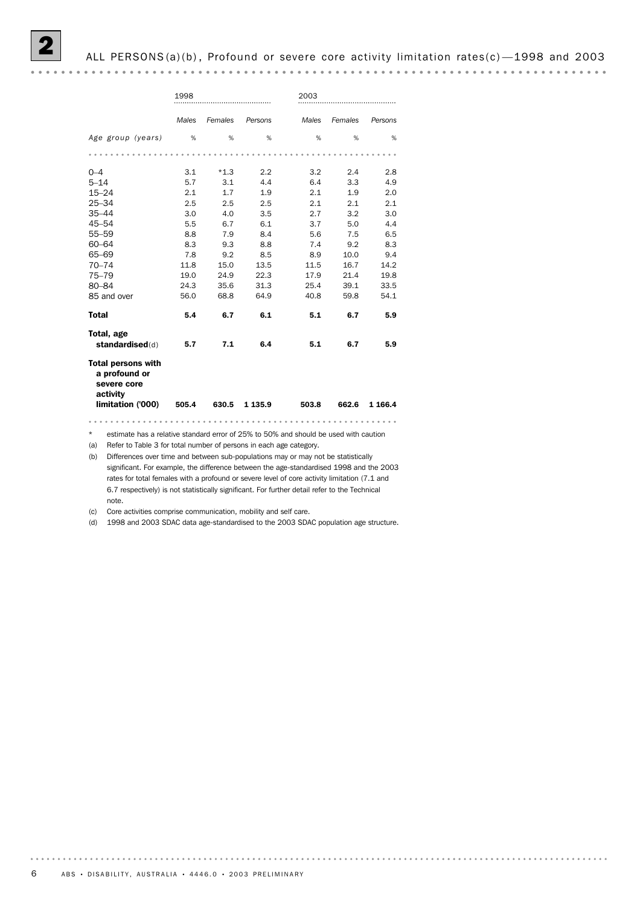#### 2 ALL PERSONS (a)(b) , Profound or severe core activity limitation rates(c) —1998 and 2003

| activity                                                  |            |               |            |            |            |            |
|-----------------------------------------------------------|------------|---------------|------------|------------|------------|------------|
| <b>Total persons with</b><br>a profound or<br>severe core |            |               |            |            |            |            |
| Total, age<br>standardised(d)                             | 5.7        | 7.1           | 6.4        | 5.1        | 6.7        | 5.9        |
| <b>Total</b>                                              | 5.4        | 6.7           | 6.1        | 5.1        | 6.7        | 5.9        |
| 85 and over                                               | 56.0       | 68.8          | 64.9       | 40.8       | 59.8       | 54.1       |
| 80-84                                                     | 24.3       | 35.6          | 31.3       | 25.4       | 39.1       | 33.5       |
| $75 - 79$                                                 | 19.0       | 24.9          | 22.3       | 17.9       | 21.4       | 19.8       |
| $70 - 74$                                                 | 11.8       | 15.0          | 13.5       | 11.5       | 16.7       | 14.2       |
| 65-69                                                     | 7.8        | 9.2           | 8.5        | 8.9        | 10.0       | 9.4        |
| $60 - 64$                                                 | 8.3        | 9.3           | 8.8        | 7.4        | 9.2        | 8.3        |
| $55 - 59$                                                 | 8.8        | 7.9           | 8.4        | 5.6        | 7.5        | 6.5        |
| 45-54                                                     | 5.5        | 6.7           | 6.1        | 3.7        | 5.0        | 4.4        |
| $35 - 44$                                                 | 3.0        | 4.0           | 3.5        | 2.7        | 3.2        | 3.0        |
| $25 - 34$                                                 | 2.5        | 2.5           | 2.5        | 2.1        | 2.1        | 2.1        |
| $15 - 24$                                                 | 2.1        | 1.7           | 1.9        | 2.1        | 1.9        | 2.0        |
| $0 - 4$<br>$5 - 14$                                       | 3.1<br>5.7 | $*1.3$<br>3.1 | 2.2<br>4.4 | 3.2<br>6.4 | 2.4<br>3.3 | 2.8<br>4.9 |
|                                                           |            |               |            |            |            |            |
| Age group (years)                                         | %          | %             | %          | %          | %          | %          |
|                                                           | Males      | Females       | Persons    | Males      | Females    | Persons    |
|                                                           | 1998       |               |            | 2003       |            |            |

\* estimate has a relative standard error of 25% to 50% and should be used with caution

(a) Refer to Table 3 for total number of persons in each age category.

(b) Differences over time and between sub-populations may or may not be statistically significant. For example, the difference between the age-standardised 1998 and the 2003 rates for total females with a profound or severe level of core activity limitation (7.1 and 6.7 respectively) is not statistically significant. For further detail refer to the Technical note.

(c) Core activities comprise communication, mobility and self care.

(d) 1998 and 2003 SDAC data age-standardised to the 2003 SDAC population age structure.

. . . . . . . .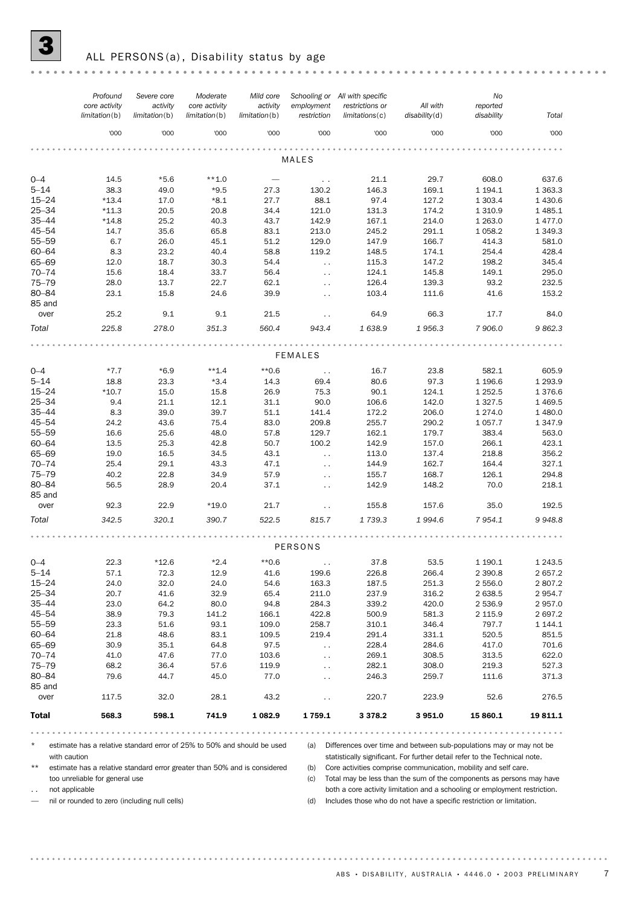# ALL PERSONS(a), Disability status by age

|                        | Profound                                                                                | Severe core               | Moderate                       | Mild core                 |                                       | Schooling or All with specific |                                                                                                                                                   | No                     |                       |
|------------------------|-----------------------------------------------------------------------------------------|---------------------------|--------------------------------|---------------------------|---------------------------------------|--------------------------------|---------------------------------------------------------------------------------------------------------------------------------------------------|------------------------|-----------------------|
|                        | core activity<br>limitation(b)                                                          | activity<br>limitation(b) | core activity<br>limitation(b) | activity<br>limitation(b) | employment<br>restriction             | restrictions or<br>limits(c)   | All with<br>disability(d)                                                                                                                         | reported<br>disability | Total                 |
|                        | '000                                                                                    | '000                      | '000                           | '000                      | '000                                  | '000                           | '000                                                                                                                                              | '000                   | '000                  |
|                        |                                                                                         |                           |                                |                           | MALES                                 |                                |                                                                                                                                                   |                        |                       |
| $0 - 4$                | 14.5                                                                                    | $*5.6$                    | $**1.0$                        |                           | $\sim$ $\sim$                         | 21.1                           | 29.7                                                                                                                                              | 608.0                  | 637.6                 |
| $5 - 14$               | 38.3                                                                                    | 49.0                      | $*9.5$                         | 27.3                      | 130.2                                 | 146.3                          | 169.1                                                                                                                                             | 1 1 9 4 . 1            | 1 3 6 3 . 3           |
| $15 - 24$              | $*13.4$                                                                                 | 17.0                      | $*8.1$                         | 27.7                      | 88.1                                  | 97.4                           | 127.2                                                                                                                                             | 1 3 0 3.4              | 1 4 3 0.6             |
| $25 - 34$              | $*11.3$                                                                                 | 20.5                      | 20.8                           | 34.4                      | 121.0                                 | 131.3                          | 174.2                                                                                                                                             | 1 3 1 0.9              | 1 4 8 5.1             |
| $35 - 44$              | $*14.8$                                                                                 | 25.2                      | 40.3                           | 43.7                      | 142.9                                 | 167.1                          | 214.0                                                                                                                                             | 1 2 6 3 . 0            | 1 477.0               |
| $45 - 54$              | 14.7                                                                                    | 35.6                      | 65.8                           | 83.1                      | 213.0                                 | 245.2                          | 291.1                                                                                                                                             | 1 0 58.2               | 1 3 4 9 . 3           |
| $55 - 59$              | 6.7                                                                                     | 26.0                      | 45.1                           | 51.2                      | 129.0                                 | 147.9                          | 166.7                                                                                                                                             | 414.3                  | 581.0                 |
| $60 - 64$              | 8.3                                                                                     | 23.2                      | 40.4                           | 58.8                      | 119.2                                 | 148.5                          | 174.1                                                                                                                                             | 254.4                  | 428.4                 |
| 65-69                  | 12.0                                                                                    | 18.7                      | 30.3                           | 54.4                      | $\sim$ $\sim$                         | 115.3                          | 147.2                                                                                                                                             | 198.2                  | 345.4                 |
| $70 - 74$<br>$75 - 79$ | 15.6<br>28.0                                                                            | 18.4<br>13.7              | 33.7<br>22.7                   | 56.4<br>62.1              | $\ddotsc$                             | 124.1<br>126.4                 | 145.8<br>139.3                                                                                                                                    | 149.1<br>93.2          | 295.0<br>232.5        |
| 80-84                  | 23.1                                                                                    | 15.8                      | 24.6                           | 39.9                      | $\ddot{\phantom{a}}$<br>$\sim$ $\sim$ | 103.4                          | 111.6                                                                                                                                             | 41.6                   | 153.2                 |
| 85 and                 |                                                                                         |                           |                                |                           |                                       |                                |                                                                                                                                                   |                        |                       |
| over                   | 25.2                                                                                    | 9.1                       | 9.1                            | 21.5                      | $\sim$ $\sim$                         | 64.9                           | 66.3                                                                                                                                              | 17.7                   | 84.0                  |
| Total                  | 225.8                                                                                   | 278.0                     | 351.3                          | 560.4                     | 943.4                                 | 1 638.9                        | 1956.3                                                                                                                                            | 7 906.0                | 9862.3                |
|                        |                                                                                         |                           |                                |                           |                                       |                                |                                                                                                                                                   |                        |                       |
|                        |                                                                                         |                           |                                |                           | <b>FEMALES</b>                        |                                |                                                                                                                                                   |                        |                       |
| $0 - 4$                | $*7.7$                                                                                  | $*6.9$                    | $**1.4$                        | $*0.6$                    | $\sim$ $\sim$                         | 16.7                           | 23.8                                                                                                                                              | 582.1                  | 605.9                 |
| $5 - 14$               | 18.8                                                                                    | 23.3                      | $*3.4$                         | 14.3                      | 69.4                                  | 80.6                           | 97.3                                                                                                                                              | 1 1 96.6               | 1 2 9 3 . 9           |
| $15 - 24$              | $*10.7$                                                                                 | 15.0                      | 15.8                           | 26.9                      | 75.3                                  | 90.1                           | 124.1                                                                                                                                             | 1 2 5 2.5              | 1 376.6               |
| $25 - 34$              | 9.4                                                                                     | 21.1                      | 12.1                           | 31.1                      | 90.0                                  | 106.6                          | 142.0                                                                                                                                             | 1 3 2 7 .5             | 1 4 6 9.5             |
| $35 - 44$<br>45-54     | 8.3<br>24.2                                                                             | 39.0<br>43.6              | 39.7<br>75.4                   | 51.1<br>83.0              | 141.4<br>209.8                        | 172.2<br>255.7                 | 206.0                                                                                                                                             | 1 2 7 4 .0<br>1057.7   | 1 480.0<br>1 3 4 7 .9 |
| $55 - 59$              | 16.6                                                                                    | 25.6                      | 48.0                           | 57.8                      | 129.7                                 | 162.1                          | 290.2<br>179.7                                                                                                                                    | 383.4                  | 563.0                 |
| $60 - 64$              | 13.5                                                                                    | 25.3                      | 42.8                           | 50.7                      | 100.2                                 | 142.9                          | 157.0                                                                                                                                             | 266.1                  | 423.1                 |
| 65-69                  | 19.0                                                                                    | 16.5                      | 34.5                           | 43.1                      | $\ddotsc$                             | 113.0                          | 137.4                                                                                                                                             | 218.8                  | 356.2                 |
| $70 - 74$              | 25.4                                                                                    | 29.1                      | 43.3                           | 47.1                      | $\ddot{\phantom{a}}$                  | 144.9                          | 162.7                                                                                                                                             | 164.4                  | 327.1                 |
| $75 - 79$              | 40.2                                                                                    | 22.8                      | 34.9                           | 57.9                      | $\sim$ $\sim$                         | 155.7                          | 168.7                                                                                                                                             | 126.1                  | 294.8                 |
| 80-84                  | 56.5                                                                                    | 28.9                      | 20.4                           | 37.1                      | $\sim$ $\sim$                         | 142.9                          | 148.2                                                                                                                                             | 70.0                   | 218.1                 |
| 85 and                 |                                                                                         |                           |                                |                           |                                       |                                |                                                                                                                                                   |                        |                       |
| over                   | 92.3                                                                                    | 22.9                      | $*19.0$                        | 21.7                      | $\ddot{\phantom{0}}$                  | 155.8                          | 157.6                                                                                                                                             | 35.0                   | 192.5                 |
| Total                  | 342.5                                                                                   | 320.1                     | 390.7                          | 522.5                     | 815.7                                 | 1 739.3                        | 1994.6                                                                                                                                            | 7954.1                 | 9948.8                |
|                        | PERSONS                                                                                 |                           |                                |                           |                                       |                                |                                                                                                                                                   |                        |                       |
| $0 - 4$                | 22.3                                                                                    | $*12.6$                   | $*2.4$                         | $*0.6$                    |                                       | 37.8                           | 53.5                                                                                                                                              | 1 190.1                | 1 2 4 3 .5            |
| $5 - 14$               | 57.1                                                                                    | 72.3                      | 12.9                           | 41.6                      | 199.6                                 | 226.8                          | 266.4                                                                                                                                             | 2 3 9 0.8              | 2 657.2               |
| $15 - 24$              | 24.0                                                                                    | 32.0                      | 24.0                           | 54.6                      | 163.3                                 | 187.5                          | 251.3                                                                                                                                             | 2 556.0                | 2807.2                |
| 25-34                  | 20.7                                                                                    | 41.6                      | 32.9                           | 65.4                      | 211.0                                 | 237.9                          | 316.2                                                                                                                                             | 2 638.5                | 2 9 5 4.7             |
| $35 - 44$              | 23.0                                                                                    | 64.2                      | 80.0                           | 94.8                      | 284.3                                 | 339.2                          | 420.0                                                                                                                                             | 2 536.9                | 2957.0                |
| 45-54                  | 38.9                                                                                    | 79.3                      | 141.2                          | 166.1                     | 422.8                                 | 500.9                          | 581.3                                                                                                                                             | 2 1 1 5.9              | 2 697.2               |
| 55-59                  | 23.3                                                                                    | 51.6                      | 93.1                           | 109.0                     | 258.7                                 | 310.1                          | 346.4                                                                                                                                             | 797.7                  | 1 144.1               |
| 60-64                  | 21.8                                                                                    | 48.6                      | 83.1                           | 109.5                     | 219.4                                 | 291.4                          | 331.1                                                                                                                                             | 520.5                  | 851.5                 |
| 65-69                  | 30.9                                                                                    | 35.1                      | 64.8                           | 97.5                      | $\sim$ $\sim$                         | 228.4                          | 284.6                                                                                                                                             | 417.0                  | 701.6                 |
| $70 - 74$              | 41.0                                                                                    | 47.6                      | 77.0                           | 103.6                     | $\ddot{\phantom{0}}$                  | 269.1                          | 308.5                                                                                                                                             | 313.5                  | 622.0                 |
| $75 - 79$<br>$80 - 84$ | 68.2                                                                                    | 36.4                      | 57.6                           | 119.9                     | $\ddot{\phantom{1}}$ .                | 282.1                          | 308.0                                                                                                                                             | 219.3                  | 527.3                 |
| 85 and                 | 79.6                                                                                    | 44.7                      | 45.0                           | 77.0                      | $\ddot{\phantom{0}}$                  | 246.3                          | 259.7                                                                                                                                             | 111.6                  | 371.3                 |
| over                   | 117.5                                                                                   | 32.0                      | 28.1                           | 43.2                      | $\ddot{\phantom{0}}$                  | 220.7                          | 223.9                                                                                                                                             | 52.6                   | 276.5                 |
| <b>Total</b>           | 568.3                                                                                   | 598.1                     | 741.9                          | 1 0 8 2.9                 | 1759.1                                | 3 3 7 8 . 2                    | 3951.0                                                                                                                                            | 15 860.1               | 19811.1               |
|                        |                                                                                         |                           |                                |                           |                                       |                                |                                                                                                                                                   |                        |                       |
| $\star$                | estimate has a relative standard error of 25% to 50% and should be used<br>with caution |                           |                                |                           | (a)                                   |                                | Differences over time and between sub-populations may or may not be<br>statistically significant. For further detail refer to the Technical note. |                        |                       |
| $***$                  | estimate has a relative standard error greater than 50% and is considered               |                           |                                |                           | (b)                                   |                                | Core activities comprise communication, mobility and self care.                                                                                   |                        |                       |
|                        | too unreliable for general use                                                          |                           |                                |                           | (c)                                   |                                | Total may be less than the sum of the components as persons may have                                                                              |                        |                       |
| $\sim$                 | not applicable                                                                          |                           |                                |                           |                                       |                                | both a core activity limitation and a schooling or employment restriction.                                                                        |                        |                       |
|                        | nil or rounded to zero (including null cells)                                           |                           |                                |                           | (d)                                   |                                | Includes those who do not have a specific restriction or limitation.                                                                              |                        |                       |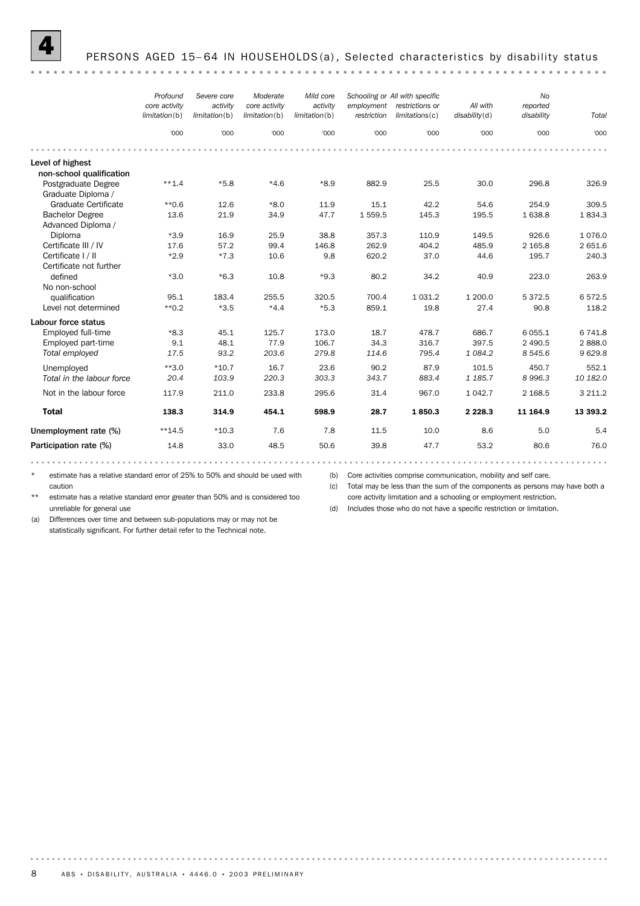#### 

|                                               | Profound<br>core activity<br>limitation(b) | Severe core<br>activity<br>limitation(b) | Moderate<br>core activity<br>limitation(b) | Mild core<br>activity<br>limitation(b) | employment<br>restriction | Schooling or All with specific<br>restrictions or<br>limitations(c) | All with<br>disability(d) | <b>No</b><br>reported<br>disability | Total     |
|-----------------------------------------------|--------------------------------------------|------------------------------------------|--------------------------------------------|----------------------------------------|---------------------------|---------------------------------------------------------------------|---------------------------|-------------------------------------|-----------|
|                                               | '000                                       | '000                                     | '000                                       | '000                                   | '000                      | '000                                                                | '000                      | '000                                | '000      |
|                                               |                                            |                                          |                                            |                                        |                           |                                                                     |                           |                                     |           |
| Level of highest<br>non-school qualification  |                                            |                                          |                                            |                                        |                           |                                                                     |                           |                                     |           |
| Postgraduate Degree<br>Graduate Diploma /     | $***1.4$                                   | $*5.8$                                   | $*4.6$                                     | $*8.9$                                 | 882.9                     | 25.5                                                                | 30.0                      | 296.8                               | 326.9     |
| Graduate Certificate                          | $*$ 0.6                                    | 12.6                                     | $*8.0$                                     | 11.9                                   | 15.1                      | 42.2                                                                | 54.6                      | 254.9                               | 309.5     |
| <b>Bachelor Degree</b><br>Advanced Diploma /  | 13.6                                       | 21.9                                     | 34.9                                       | 47.7                                   | 1 559.5                   | 145.3                                                               | 195.5                     | 1 638.8                             | 1834.3    |
| Diploma                                       | $*3.9$                                     | 16.9                                     | 25.9                                       | 38.8                                   | 357.3                     | 110.9                                                               | 149.5                     | 926.6                               | 1076.0    |
| Certificate III / IV                          | 17.6                                       | 57.2                                     | 99.4                                       | 146.8                                  | 262.9                     | 404.2                                                               | 485.9                     | 2 1 6 5 . 8                         | 2 651.6   |
| Certificate I / II<br>Certificate not further | $*2.9$                                     | $*7.3$                                   | 10.6                                       | 9.8                                    | 620.2                     | 37.0                                                                | 44.6                      | 195.7                               | 240.3     |
| defined                                       | $*3.0$                                     | $*6.3$                                   | 10.8                                       | $*9.3$                                 | 80.2                      | 34.2                                                                | 40.9                      | 223.0                               | 263.9     |
| No non-school                                 |                                            |                                          |                                            |                                        |                           |                                                                     |                           |                                     |           |
| qualification                                 | 95.1                                       | 183.4                                    | 255.5                                      | 320.5                                  | 700.4                     | 1 0 3 1 . 2                                                         | 1 200.0                   | 5372.5                              | 6572.5    |
| Level not determined                          | $*$ 0.2                                    | $*3.5$                                   | $*4.4$                                     | $*5.3$                                 | 859.1                     | 19.8                                                                | 27.4                      | 90.8                                | 118.2     |
| Labour force status                           |                                            |                                          |                                            |                                        |                           |                                                                     |                           |                                     |           |
| Employed full-time                            | $*8.3$                                     | 45.1                                     | 125.7                                      | 173.0                                  | 18.7                      | 478.7                                                               | 686.7                     | 6 0 5 5.1                           | 6 741.8   |
| Employed part-time                            | 9.1                                        | 48.1                                     | 77.9                                       | 106.7                                  | 34.3                      | 316.7                                                               | 397.5                     | 2 490.5                             | 2888.0    |
| Total employed                                | 17.5                                       | 93.2                                     | 203.6                                      | 279.8                                  | 114.6                     | 795.4                                                               | 1 084.2                   | 8 5 4 5.6                           | 9629.8    |
| Unemployed                                    | $**3.0$                                    | $*10.7$                                  | 16.7                                       | 23.6                                   | 90.2                      | 87.9                                                                | 101.5                     | 450.7                               | 552.1     |
| Total in the labour force                     | 20.4                                       | 103.9                                    | 220.3                                      | 303.3                                  | 343.7                     | 883.4                                                               | 1 185.7                   | 8996.3                              | 10 182.0  |
| Not in the labour force                       | 117.9                                      | 211.0                                    | 233.8                                      | 295.6                                  | 31.4                      | 967.0                                                               | 1 0 4 2.7                 | 2 1 68.5                            | 3 2 1 1.2 |
| <b>Total</b>                                  | 138.3                                      | 314.9                                    | 454.1                                      | 598.9                                  | 28.7                      | 1850.3                                                              | 2 2 2 8 . 3               | 11 164.9                            | 13 393.2  |
| Unemployment rate (%)                         | $**14.5$                                   | $*10.3$                                  | 7.6                                        | 7.8                                    | 11.5                      | 10.0                                                                | 8.6                       | 5.0                                 | 5.4       |
| Participation rate (%)                        | 14.8                                       | 33.0                                     | 48.5                                       | 50.6                                   | 39.8                      | 47.7                                                                | 53.2                      | 80.6                                | 76.0      |

\* estimate has a relative standard error of 25% to 50% and should be used with (b) Core activities comprise communication, mobility and self care.

caution

(c) Total may be less than the sum of the components as persons may have both a core activity limitation and a schooling or employment restriction.

\*\* estimate has a relative standard error greater than 50% and is considered too unreliable for general use

(d) Includes those who do not have a specific restriction or limitation.

(a) Differences over time and between sub-populations may or may not be statistically significant. For further detail refer to the Technical note.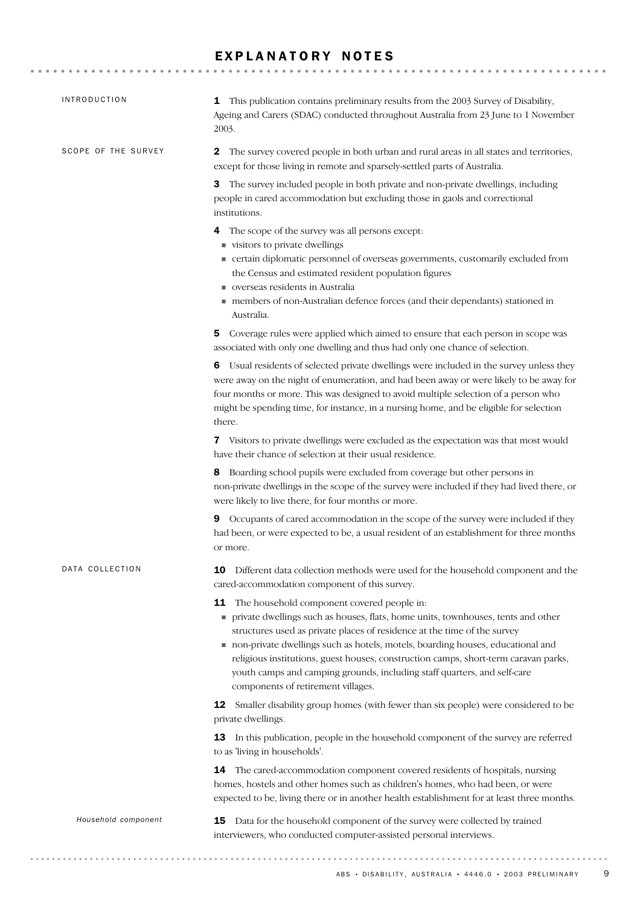### EXPLANATORY NOTES

| <b>INTRODUCTION</b> | This publication contains preliminary results from the 2003 Survey of Disability,<br>1<br>Ageing and Carers (SDAC) conducted throughout Australia from 23 June to 1 November<br>2003.                                                                                                                                                                                                                                                                                                                       |
|---------------------|-------------------------------------------------------------------------------------------------------------------------------------------------------------------------------------------------------------------------------------------------------------------------------------------------------------------------------------------------------------------------------------------------------------------------------------------------------------------------------------------------------------|
| SCOPE OF THE SURVEY | The survey covered people in both urban and rural areas in all states and territories,<br>$\mathbf{2}^{\prime}$<br>except for those living in remote and sparsely-settled parts of Australia.                                                                                                                                                                                                                                                                                                               |
|                     | 3 The survey included people in both private and non-private dwellings, including<br>people in cared accommodation but excluding those in gaols and correctional<br>institutions.                                                                                                                                                                                                                                                                                                                           |
|                     | The scope of the survey was all persons except:<br>4<br>visitors to private dwellings<br>• certain diplomatic personnel of overseas governments, customarily excluded from<br>the Census and estimated resident population figures<br>verseas residents in Australia<br>members of non-Australian defence forces (and their dependants) stationed in<br>Australia.                                                                                                                                          |
|                     | Coverage rules were applied which aimed to ensure that each person in scope was<br>5<br>associated with only one dwelling and thus had only one chance of selection.                                                                                                                                                                                                                                                                                                                                        |
|                     | Usual residents of selected private dwellings were included in the survey unless they<br>6<br>were away on the night of enumeration, and had been away or were likely to be away for<br>four months or more. This was designed to avoid multiple selection of a person who<br>might be spending time, for instance, in a nursing home, and be eligible for selection<br>there.                                                                                                                              |
|                     | 7 Visitors to private dwellings were excluded as the expectation was that most would<br>have their chance of selection at their usual residence.                                                                                                                                                                                                                                                                                                                                                            |
|                     | 8 Boarding school pupils were excluded from coverage but other persons in<br>non-private dwellings in the scope of the survey were included if they had lived there, or<br>were likely to live there, for four months or more.                                                                                                                                                                                                                                                                              |
|                     | Occupants of cared accommodation in the scope of the survey were included if they<br>9<br>had been, or were expected to be, a usual resident of an establishment for three months<br>or more.                                                                                                                                                                                                                                                                                                               |
| DATA COLLECTION     | 10<br>Different data collection methods were used for the household component and the<br>cared-accommodation component of this survey.                                                                                                                                                                                                                                                                                                                                                                      |
|                     | The household component covered people in:<br>11<br>private dwellings such as houses, flats, home units, townhouses, tents and other<br>structures used as private places of residence at the time of the survey<br>non-private dwellings such as hotels, motels, boarding houses, educational and<br>religious institutions, guest houses, construction camps, short-term caravan parks,<br>youth camps and camping grounds, including staff quarters, and self-care<br>components of retirement villages. |
|                     | 12<br>Smaller disability group homes (with fewer than six people) were considered to be<br>private dwellings.                                                                                                                                                                                                                                                                                                                                                                                               |
|                     | In this publication, people in the household component of the survey are referred<br>13<br>to as 'living in households'.                                                                                                                                                                                                                                                                                                                                                                                    |
|                     | The cared-accommodation component covered residents of hospitals, nursing<br>14<br>homes, hostels and other homes such as children's homes, who had been, or were<br>expected to be, living there or in another health establishment for at least three months.                                                                                                                                                                                                                                             |
|                     |                                                                                                                                                                                                                                                                                                                                                                                                                                                                                                             |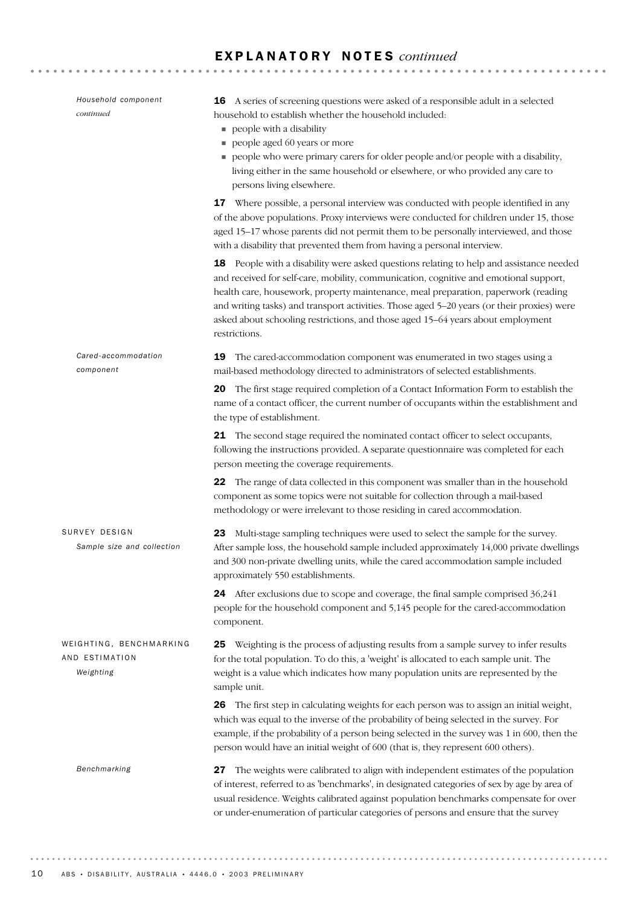| Household component<br>continued                       | <b>16</b> A series of screening questions were asked of a responsible adult in a selected<br>household to establish whether the household included:<br>people with a disability<br>٠<br>people aged 60 years or more<br>ш<br>people who were primary carers for older people and/or people with a disability,<br>living either in the same household or elsewhere, or who provided any care to<br>persons living elsewhere.                                              |
|--------------------------------------------------------|--------------------------------------------------------------------------------------------------------------------------------------------------------------------------------------------------------------------------------------------------------------------------------------------------------------------------------------------------------------------------------------------------------------------------------------------------------------------------|
|                                                        | 17 Where possible, a personal interview was conducted with people identified in any<br>of the above populations. Proxy interviews were conducted for children under 15, those<br>aged 15-17 whose parents did not permit them to be personally interviewed, and those<br>with a disability that prevented them from having a personal interview.                                                                                                                         |
|                                                        | 18 People with a disability were asked questions relating to help and assistance needed<br>and received for self-care, mobility, communication, cognitive and emotional support,<br>health care, housework, property maintenance, meal preparation, paperwork (reading<br>and writing tasks) and transport activities. Those aged 5-20 years (or their proxies) were<br>asked about schooling restrictions, and those aged 15-64 years about employment<br>restrictions. |
| Cared-accommodation<br>component                       | The cared-accommodation component was enumerated in two stages using a<br>19<br>mail-based methodology directed to administrators of selected establishments.                                                                                                                                                                                                                                                                                                            |
|                                                        | The first stage required completion of a Contact Information Form to establish the<br>20<br>name of a contact officer, the current number of occupants within the establishment and<br>the type of establishment.                                                                                                                                                                                                                                                        |
|                                                        | 21 The second stage required the nominated contact officer to select occupants,<br>following the instructions provided. A separate questionnaire was completed for each<br>person meeting the coverage requirements.                                                                                                                                                                                                                                                     |
|                                                        | The range of data collected in this component was smaller than in the household<br>22<br>component as some topics were not suitable for collection through a mail-based<br>methodology or were irrelevant to those residing in cared accommodation.                                                                                                                                                                                                                      |
| SURVEY DESIGN<br>Sample size and collection            | Multi-stage sampling techniques were used to select the sample for the survey.<br>23<br>After sample loss, the household sample included approximately 14,000 private dwellings<br>and 300 non-private dwelling units, while the cared accommodation sample included<br>approximately 550 establishments.                                                                                                                                                                |
|                                                        | 24 After exclusions due to scope and coverage, the final sample comprised 36,241<br>people for the household component and 5,145 people for the cared-accommodation<br>component.                                                                                                                                                                                                                                                                                        |
| WEIGHTING, BENCHMARKING<br>AND ESTIMATION<br>Weighting | Weighting is the process of adjusting results from a sample survey to infer results<br>25<br>for the total population. To do this, a 'weight' is allocated to each sample unit. The<br>weight is a value which indicates how many population units are represented by the<br>sample unit.                                                                                                                                                                                |
|                                                        | The first step in calculating weights for each person was to assign an initial weight,<br>26<br>which was equal to the inverse of the probability of being selected in the survey. For<br>example, if the probability of a person being selected in the survey was 1 in 600, then the<br>person would have an initial weight of 600 (that is, they represent 600 others).                                                                                                |
| Benchmarking                                           | The weights were calibrated to align with independent estimates of the population<br>27<br>of interest, referred to as 'benchmarks', in designated categories of sex by age by area of<br>usual residence. Weights calibrated against population benchmarks compensate for over<br>or under-enumeration of particular categories of persons and ensure that the survey                                                                                                   |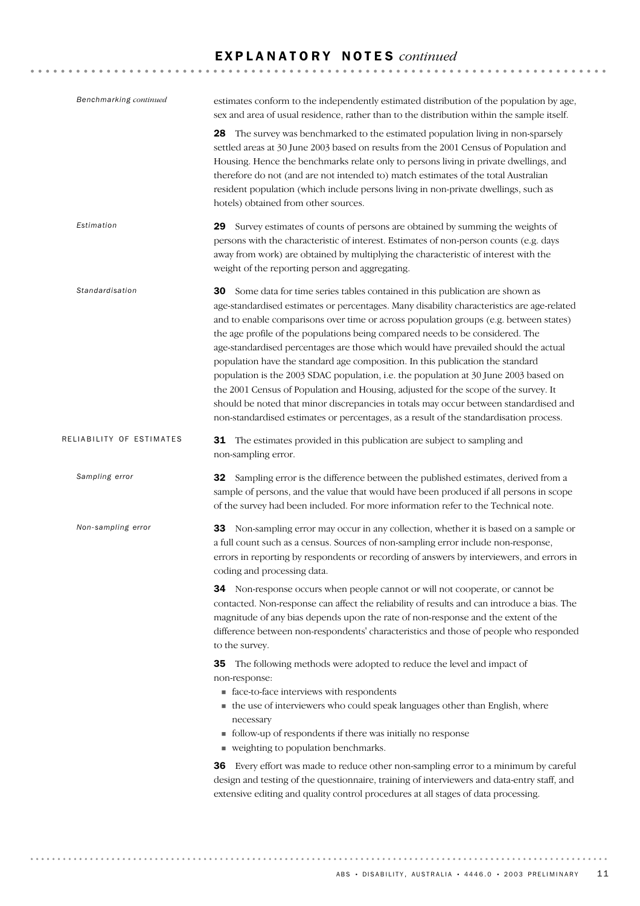| Benchmarking continued   | estimates conform to the independently estimated distribution of the population by age,<br>sex and area of usual residence, rather than to the distribution within the sample itself.                                                                                                                                                                                                                                                                                                                                                                                                                                                                                                                                                                                                                                                                                                                    |
|--------------------------|----------------------------------------------------------------------------------------------------------------------------------------------------------------------------------------------------------------------------------------------------------------------------------------------------------------------------------------------------------------------------------------------------------------------------------------------------------------------------------------------------------------------------------------------------------------------------------------------------------------------------------------------------------------------------------------------------------------------------------------------------------------------------------------------------------------------------------------------------------------------------------------------------------|
|                          | The survey was benchmarked to the estimated population living in non-sparsely<br>28<br>settled areas at 30 June 2003 based on results from the 2001 Census of Population and<br>Housing. Hence the benchmarks relate only to persons living in private dwellings, and<br>therefore do not (and are not intended to) match estimates of the total Australian<br>resident population (which include persons living in non-private dwellings, such as<br>hotels) obtained from other sources.                                                                                                                                                                                                                                                                                                                                                                                                               |
| Estimation               | Survey estimates of counts of persons are obtained by summing the weights of<br>29<br>persons with the characteristic of interest. Estimates of non-person counts (e.g. days<br>away from work) are obtained by multiplying the characteristic of interest with the<br>weight of the reporting person and aggregating.                                                                                                                                                                                                                                                                                                                                                                                                                                                                                                                                                                                   |
| Standardisation          | <b>30</b> Some data for time series tables contained in this publication are shown as<br>age-standardised estimates or percentages. Many disability characteristics are age-related<br>and to enable comparisons over time or across population groups (e.g. between states)<br>the age profile of the populations being compared needs to be considered. The<br>age-standardised percentages are those which would have prevailed should the actual<br>population have the standard age composition. In this publication the standard<br>population is the 2003 SDAC population, i.e. the population at 30 June 2003 based on<br>the 2001 Census of Population and Housing, adjusted for the scope of the survey. It<br>should be noted that minor discrepancies in totals may occur between standardised and<br>non-standardised estimates or percentages, as a result of the standardisation process. |
| RELIABILITY OF ESTIMATES | 31 The estimates provided in this publication are subject to sampling and<br>non-sampling error.                                                                                                                                                                                                                                                                                                                                                                                                                                                                                                                                                                                                                                                                                                                                                                                                         |
| Sampling error           | Sampling error is the difference between the published estimates, derived from a<br>32<br>sample of persons, and the value that would have been produced if all persons in scope<br>of the survey had been included. For more information refer to the Technical note.                                                                                                                                                                                                                                                                                                                                                                                                                                                                                                                                                                                                                                   |
| Non-sampling error       | 33 Non-sampling error may occur in any collection, whether it is based on a sample or<br>a full count such as a census. Sources of non-sampling error include non-response,<br>errors in reporting by respondents or recording of answers by interviewers, and errors in<br>coding and processing data.                                                                                                                                                                                                                                                                                                                                                                                                                                                                                                                                                                                                  |
|                          | <b>34</b> Non-response occurs when people cannot or will not cooperate, or cannot be<br>contacted. Non-response can affect the reliability of results and can introduce a bias. The<br>magnitude of any bias depends upon the rate of non-response and the extent of the<br>difference between non-respondents' characteristics and those of people who responded<br>to the survey.                                                                                                                                                                                                                                                                                                                                                                                                                                                                                                                      |
|                          | The following methods were adopted to reduce the level and impact of<br>35<br>non-response:<br>■ face-to-face interviews with respondents<br>• the use of interviewers who could speak languages other than English, where<br>necessary<br>• follow-up of respondents if there was initially no response<br>veighting to population benchmarks.                                                                                                                                                                                                                                                                                                                                                                                                                                                                                                                                                          |
|                          | 36 Every effort was made to reduce other non-sampling error to a minimum by careful<br>design and testing of the questionnaire, training of interviewers and data-entry staff, and<br>extensive editing and quality control procedures at all stages of data processing.                                                                                                                                                                                                                                                                                                                                                                                                                                                                                                                                                                                                                                 |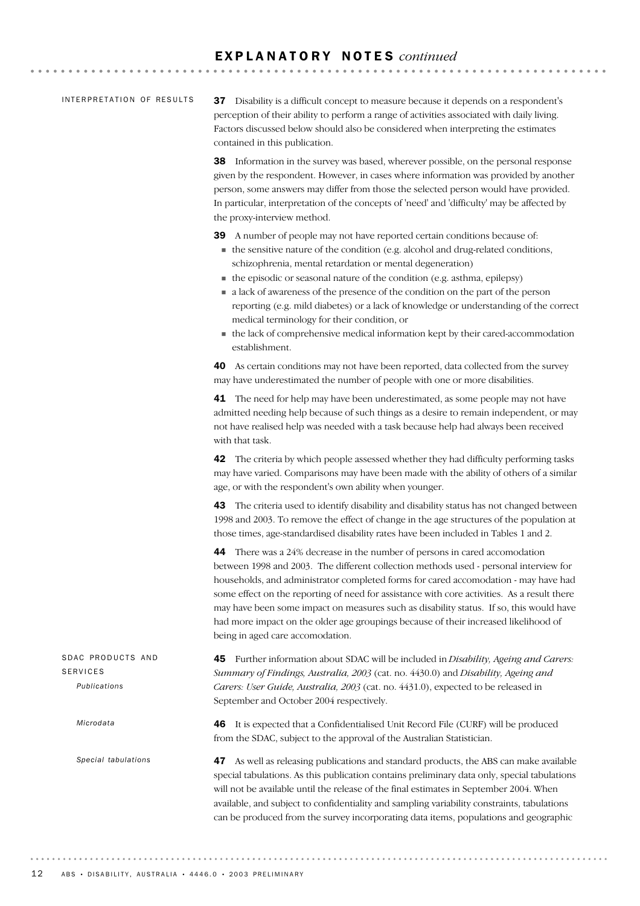#### INTERPRETATION OF RESULTS

37 Disability is a difficult concept to measure because it depends on a respondent's perception of their ability to perform a range of activities associated with daily living. Factors discussed below should also be considered when interpreting the estimates contained in this publication.

38 Information in the survey was based, wherever possible, on the personal response given by the respondent. However, in cases where information was provided by another person, some answers may differ from those the selected person would have provided. In particular, interpretation of the concepts of 'need' and 'difficulty' may be affected by the proxy-interview method.

39 A number of people may not have reported certain conditions because of:

- ! the sensitive nature of the condition (e.g. alcohol and drug-related conditions, schizophrenia, mental retardation or mental degeneration)
- ! the episodic or seasonal nature of the condition (e.g. asthma, epilepsy)
- ! a lack of awareness of the presence of the condition on the part of the person reporting (e.g. mild diabetes) or a lack of knowledge or understanding of the correct medical terminology for their condition, or
- ! the lack of comprehensive medical information kept by their cared-accommodation establishment.

40 As certain conditions may not have been reported, data collected from the survey may have underestimated the number of people with one or more disabilities.

**41** The need for help may have been underestimated, as some people may not have admitted needing help because of such things as a desire to remain independent, or may not have realised help was needed with a task because help had always been received with that task.

42 The criteria by which people assessed whether they had difficulty performing tasks may have varied. Comparisons may have been made with the ability of others of a similar age, or with the respondent's own ability when younger.

43 The criteria used to identify disability and disability status has not changed between 1998 and 2003. To remove the effect of change in the age structures of the population at those times, age-standardised disability rates have been included in Tables 1 and 2.

44 There was a 24% decrease in the number of persons in cared accomodation between 1998 and 2003. The different collection methods used - personal interview for households, and administrator completed forms for cared accomodation - may have had some effect on the reporting of need for assistance with core activities. As a result there may have been some impact on measures such as disability status. If so, this would have had more impact on the older age groupings because of their increased likelihood of being in aged care accomodation.

45 Further information about SDAC will be included in *Disability, Ageing and Carers: Summary of Findings, Australia, 2003* (cat. no. 4430.0) and *Disability, Ageing and Carers: User Guide, Australia, 2003* (cat. no. 4431.0), expected to be released in September and October 2004 respectively. SDAC PRODUCTS AND SERVICES *Publications*

> 46 It is expected that a Confidentialised Unit Record File (CURF) will be produced from the SDAC, subject to the approval of the Australian Statistician.

47 As well as releasing publications and standard products, the ABS can make available special tabulations. As this publication contains preliminary data only, special tabulations will not be available until the release of the final estimates in September 2004. When available, and subject to confidentiality and sampling variability constraints, tabulations can be produced from the survey incorporating data items, populations and geographic

*Microdata*

*Special tabulations*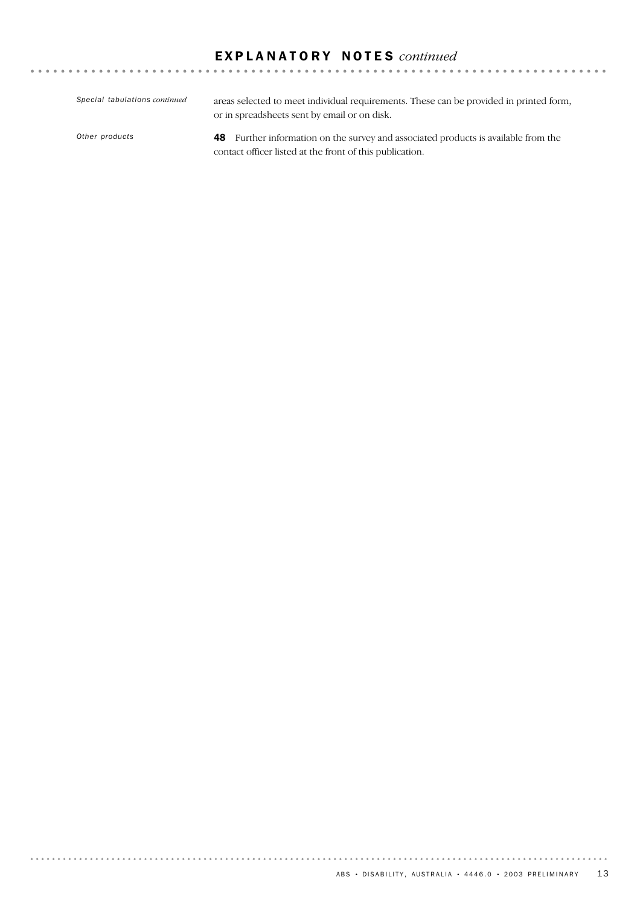48 Further information on the survey and associated products is available from the contact officer listed at the front of this publication. *Other products* areas selected to meet individual requirements. These can be provided in printed form, or in spreadsheets sent by email or on disk. *Special tabulations continued*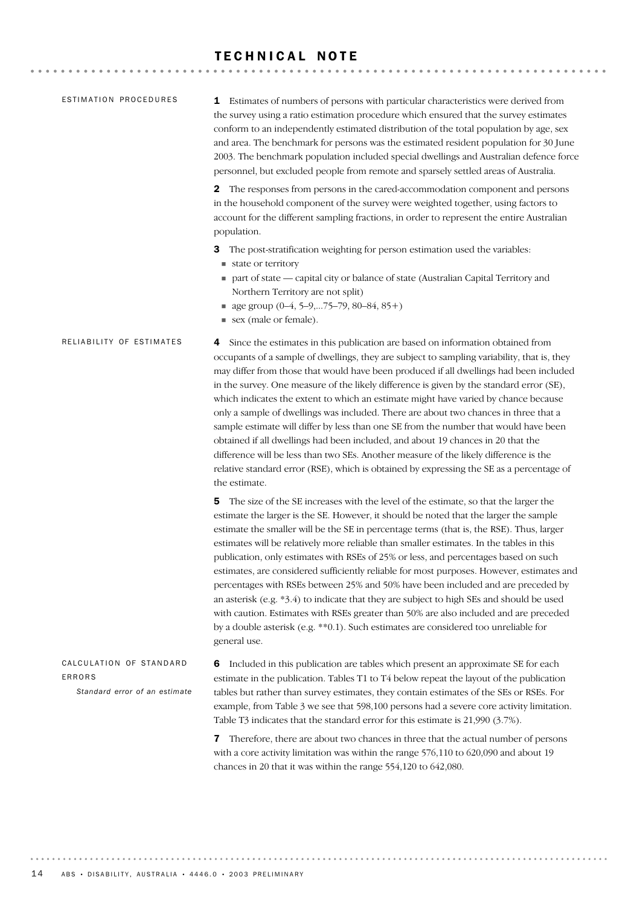### TECHNICAL NOTE

| ESTIMATION PROCEDURES                                              | <b>1</b> Estimates of numbers of persons with particular characteristics were derived from<br>the survey using a ratio estimation procedure which ensured that the survey estimates<br>conform to an independently estimated distribution of the total population by age, sex<br>and area. The benchmark for persons was the estimated resident population for 30 June<br>2003. The benchmark population included special dwellings and Australian defence force<br>personnel, but excluded people from remote and sparsely settled areas of Australia.                                                                                                                                                                                                                                                                                                                                                                                        |
|--------------------------------------------------------------------|------------------------------------------------------------------------------------------------------------------------------------------------------------------------------------------------------------------------------------------------------------------------------------------------------------------------------------------------------------------------------------------------------------------------------------------------------------------------------------------------------------------------------------------------------------------------------------------------------------------------------------------------------------------------------------------------------------------------------------------------------------------------------------------------------------------------------------------------------------------------------------------------------------------------------------------------|
|                                                                    | The responses from persons in the cared-accommodation component and persons<br>2<br>in the household component of the survey were weighted together, using factors to<br>account for the different sampling fractions, in order to represent the entire Australian<br>population.                                                                                                                                                                                                                                                                                                                                                                                                                                                                                                                                                                                                                                                              |
|                                                                    | The post-stratification weighting for person estimation used the variables:<br>3<br>state or territory<br>• part of state — capital city or balance of state (Australian Capital Territory and<br>Northern Territory are not split)<br>$\blacksquare$ age group (0-4, 5-9,75-79, 80-84, 85+)<br>sex (male or female).                                                                                                                                                                                                                                                                                                                                                                                                                                                                                                                                                                                                                          |
| RELIABILITY OF ESTIMATES                                           | Since the estimates in this publication are based on information obtained from<br>4<br>occupants of a sample of dwellings, they are subject to sampling variability, that is, they<br>may differ from those that would have been produced if all dwellings had been included<br>in the survey. One measure of the likely difference is given by the standard error (SE),<br>which indicates the extent to which an estimate might have varied by chance because<br>only a sample of dwellings was included. There are about two chances in three that a<br>sample estimate will differ by less than one SE from the number that would have been<br>obtained if all dwellings had been included, and about 19 chances in 20 that the<br>difference will be less than two SEs. Another measure of the likely difference is the<br>relative standard error (RSE), which is obtained by expressing the SE as a percentage of<br>the estimate.      |
|                                                                    | The size of the SE increases with the level of the estimate, so that the larger the<br>5<br>estimate the larger is the SE. However, it should be noted that the larger the sample<br>estimate the smaller will be the SE in percentage terms (that is, the RSE). Thus, larger<br>estimates will be relatively more reliable than smaller estimates. In the tables in this<br>publication, only estimates with RSEs of 25% or less, and percentages based on such<br>estimates, are considered sufficiently reliable for most purposes. However, estimates and<br>percentages with RSEs between 25% and 50% have been included and are preceded by<br>an asterisk (e.g. *3.4) to indicate that they are subject to high SEs and should be used<br>with caution. Estimates with RSEs greater than 50% are also included and are preceded<br>by a double asterisk (e.g. ** 0.1). Such estimates are considered too unreliable for<br>general use. |
| CALCULATION OF STANDARD<br>ERRORS<br>Standard error of an estimate | Included in this publication are tables which present an approximate SE for each<br>6<br>estimate in the publication. Tables T1 to T4 below repeat the layout of the publication<br>tables but rather than survey estimates, they contain estimates of the SEs or RSEs. For<br>example, from Table 3 we see that 598,100 persons had a severe core activity limitation.<br>Table T3 indicates that the standard error for this estimate is 21,990 (3.7%).<br><b>7</b> Therefore, there are about two chances in three that the actual number of persons                                                                                                                                                                                                                                                                                                                                                                                        |

with a core activity limitation was within the range 576,110 to 620,090 and about 19 chances in 20 that it was within the range 554,120 to 642,080.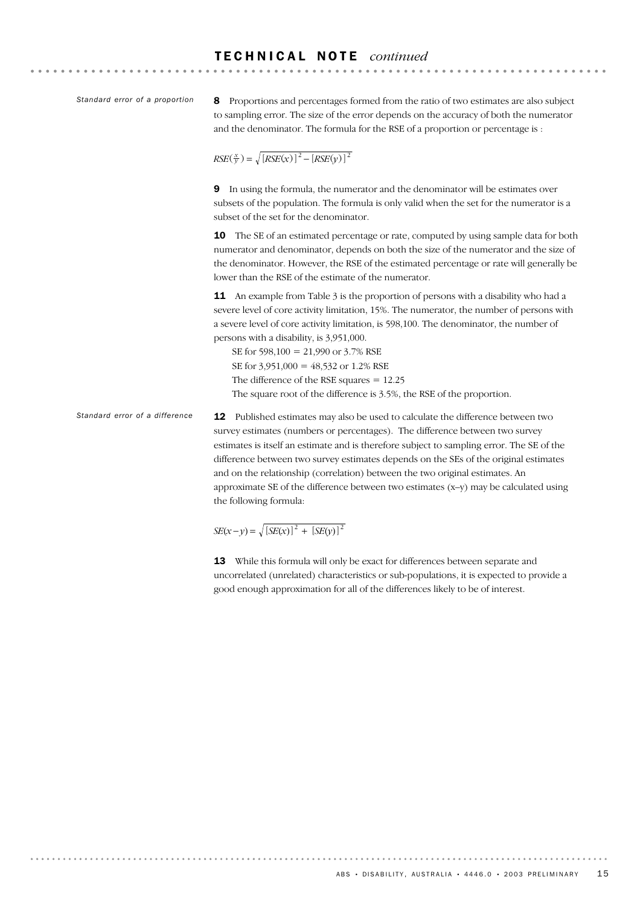*Standard error of a proportion*

8 Proportions and percentages formed from the ratio of two estimates are also subject to sampling error. The size of the error depends on the accuracy of both the numerator and the denominator. The formula for the RSE of a proportion or percentage is :

 $RSE(\frac{x}{y}) = \sqrt{[RSE(x)]^2 - [RSE(y)]^2}$ 

9 In using the formula, the numerator and the denominator will be estimates over subsets of the population. The formula is only valid when the set for the numerator is a subset of the set for the denominator.

10 The SE of an estimated percentage or rate, computed by using sample data for both numerator and denominator, depends on both the size of the numerator and the size of the denominator. However, the RSE of the estimated percentage or rate will generally be lower than the RSE of the estimate of the numerator.

**11** An example from Table 3 is the proportion of persons with a disability who had a severe level of core activity limitation, 15%. The numerator, the number of persons with a severe level of core activity limitation, is 598,100. The denominator, the number of persons with a disability, is 3,951,000.

SE for 598,100 = 21,990 or 3.7% RSE SE for 3,951,000 = 48,532 or 1.2% RSE The difference of the RSE squares = 12.25 The square root of the difference is 3.5%, the RSE of the proportion.

12 Published estimates may also be used to calculate the difference between two survey estimates (numbers or percentages). The difference between two survey estimates is itself an estimate and is therefore subject to sampling error. The SE of the difference between two survey estimates depends on the SEs of the original estimates and on the relationship (correlation) between the two original estimates. An approximate SE of the difference between two estimates (x–y) may be calculated using the following formula: *Standard error of a difference*

 $SE(x - y) = \sqrt{[SE(x)]^2 + [SE(y)]^2}$ 

13 While this formula will only be exact for differences between separate and uncorrelated (unrelated) characteristics or sub-populations, it is expected to provide a good enough approximation for all of the differences likely to be of interest.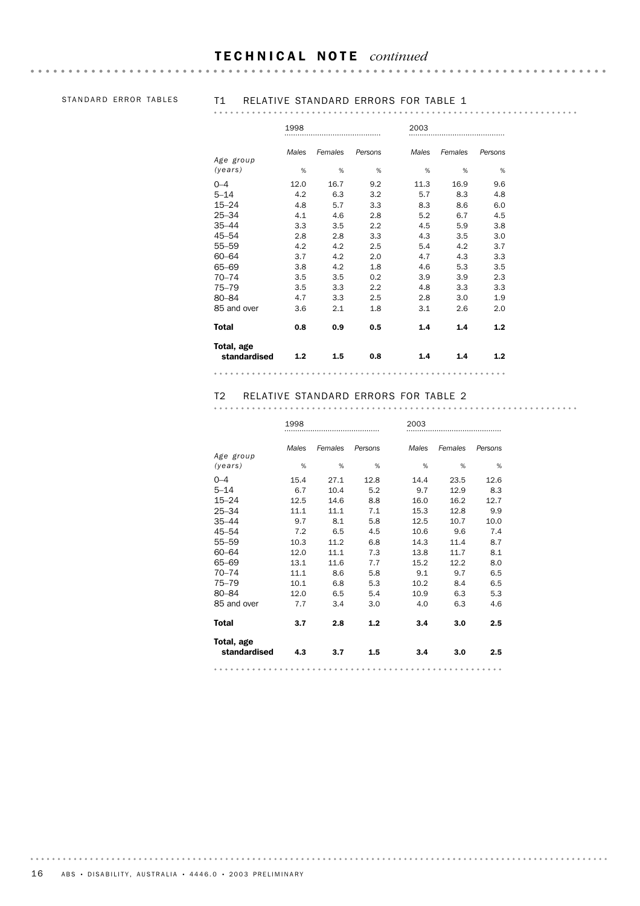#### T E C H N I C A L N O T E *continued*

# STANDARD ERROR TABLES T1 RELATIVE STANDARD ERRORS FOR TABLE 1

|--|--|--|--|--|--|--|--|--|--|--|--|--|--|--|--|--|--|--|--|--|--|--|--|--|--|--|--|--|--|--|--|--|--|--|--|--|--|--|--|--|--|--|--|--|--|--|--|--|--|--|--|--|

|                            | 1998  |         |         | 2003  |         |         |  |  |  |
|----------------------------|-------|---------|---------|-------|---------|---------|--|--|--|
|                            | Males | Females | Persons | Males | Females | Persons |  |  |  |
| Age group<br>(years)       | %     | %       | %       | %     | %       | %       |  |  |  |
| $0 - 4$                    | 12.0  | 16.7    | 9.2     | 11.3  | 16.9    | 9.6     |  |  |  |
| $5 - 14$                   | 4.2   | 6.3     | 3.2     | 5.7   | 8.3     | 4.8     |  |  |  |
| $15 - 24$                  | 4.8   | 5.7     | 3.3     | 8.3   | 8.6     | 6.0     |  |  |  |
| $25 - 34$                  | 4.1   | 4.6     | 2.8     | 5.2   | 6.7     | 4.5     |  |  |  |
| $35 - 44$                  | 3.3   | 3.5     | 2.2     | 4.5   | 5.9     | 3.8     |  |  |  |
| $45 - 54$                  | 2.8   | 2.8     | 3.3     | 4.3   | 3.5     | 3.0     |  |  |  |
| 55-59                      | 4.2   | 4.2     | 2.5     | 5.4   | 4.2     | 3.7     |  |  |  |
| $60 - 64$                  | 3.7   | 4.2     | 2.0     | 4.7   | 4.3     | 3.3     |  |  |  |
| 65-69                      | 3.8   | 4.2     | 1.8     | 4.6   | 5.3     | 3.5     |  |  |  |
| $70 - 74$                  | 3.5   | 3.5     | 0.2     | 3.9   | 3.9     | 2.3     |  |  |  |
| $75 - 79$                  | 3.5   | 3.3     | 2.2     | 4.8   | 3.3     | 3.3     |  |  |  |
| 80-84                      | 4.7   | 3.3     | 2.5     | 2.8   | 3.0     | 1.9     |  |  |  |
| 85 and over                | 3.6   | 2.1     | 1.8     | 3.1   | 2.6     | 2.0     |  |  |  |
| <b>Total</b>               | 0.8   | 0.9     | 0.5     | 1.4   | 1.4     | 1.2     |  |  |  |
| Total, age<br>standardised | 1.2   | 1.5     | 0.8     | 1.4   | 1.4     | 1.2     |  |  |  |
|                            |       |         |         |       |         |         |  |  |  |

# T2 RELATIVE STANDARD ERRORS FOR TABLE 2

|                            | 1998  |         |         | 2003  |         |         |  |  |  |
|----------------------------|-------|---------|---------|-------|---------|---------|--|--|--|
| Age group                  | Males | Females | Persons | Males | Females | Persons |  |  |  |
| (years)                    | %     | %       | %       | %     | %       | %       |  |  |  |
| $0 - 4$                    | 15.4  | 27.1    | 12.8    | 14.4  | 23.5    | 12.6    |  |  |  |
| $5 - 14$                   | 6.7   | 10.4    | 5.2     | 9.7   | 12.9    | 8.3     |  |  |  |
| $15 - 24$                  | 12.5  | 14.6    | 8.8     | 16.0  | 16.2    | 12.7    |  |  |  |
| $25 - 34$                  | 11.1  | 11.1    | 7.1     | 15.3  | 12.8    | 9.9     |  |  |  |
| $35 - 44$                  | 9.7   | 8.1     | 5.8     | 12.5  | 10.7    | 10.0    |  |  |  |
| 45-54                      | 7.2   | 6.5     | 4.5     | 10.6  | 9.6     | 7.4     |  |  |  |
| $55 - 59$                  | 10.3  | 11.2    | 6.8     | 14.3  | 11.4    | 8.7     |  |  |  |
| $60 - 64$                  | 12.0  | 11.1    | 7.3     | 13.8  | 11.7    | 8.1     |  |  |  |
| 65-69                      | 13.1  | 11.6    | 7.7     | 15.2  | 12.2    | 8.0     |  |  |  |
| $70 - 74$                  | 11.1  | 8.6     | 5.8     | 9.1   | 9.7     | 6.5     |  |  |  |
| $75 - 79$                  | 10.1  | 6.8     | 5.3     | 10.2  | 8.4     | 6.5     |  |  |  |
| $80 - 84$                  | 12.0  | 6.5     | 5.4     | 10.9  | 6.3     | 5.3     |  |  |  |
| 85 and over                | 7.7   | 3.4     | 3.0     | 4.0   | 6.3     | 4.6     |  |  |  |
| <b>Total</b>               | 3.7   | 2.8     | 1.2     | 3.4   | 3.0     | 2.5     |  |  |  |
| Total, age<br>standardised | 4.3   | 3.7     | 1.5     | 3.4   | 3.0     | 2.5     |  |  |  |
|                            |       |         |         |       |         |         |  |  |  |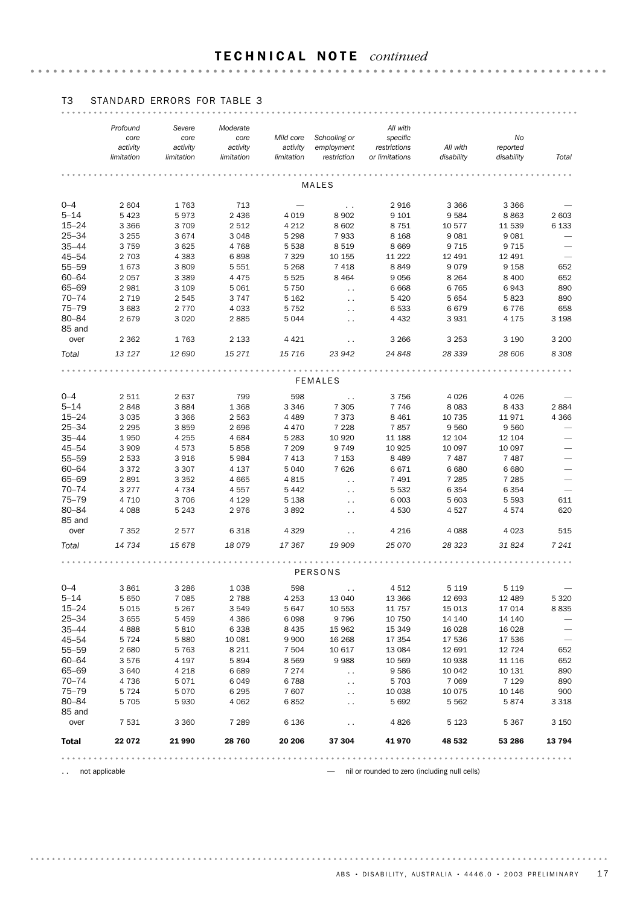#### T E C H N I C A L N O T E *continued*

|                       | Profound<br>core<br>activity | Severe<br>core<br>activity | Moderate<br>core<br>activity | Mild core<br>activity | Schooling or<br>employment     | All with<br>specific<br>restrictions            | All with          | No<br>reported    |                          |
|-----------------------|------------------------------|----------------------------|------------------------------|-----------------------|--------------------------------|-------------------------------------------------|-------------------|-------------------|--------------------------|
|                       | limitation                   | limitation                 | limitation                   | limitation            | restriction                    | or limitations                                  | disability        | disability        | Total                    |
|                       |                              |                            |                              |                       |                                |                                                 |                   |                   |                          |
|                       |                              |                            |                              |                       | <b>MALES</b>                   |                                                 |                   |                   |                          |
| $0 - 4$               | 2 604                        | 1763                       | 713                          |                       | $\ddot{\phantom{1}}$           | 2916                                            | 3 3 6 6           | 3 3 6 6           |                          |
| $5 - 14$              | 5 4 2 3                      | 5973                       | 2 4 3 6                      | 4 0 1 9               | 8902                           | 9 1 0 1                                         | 9584              | 8863              | 2 603                    |
| $15 - 24$             | 3 3 6 6                      | 3709                       | 2 5 1 2                      | 4 2 1 2               | 8 6 0 2                        | 8751                                            | 10 577            | 11 539            | 6 1 3 3                  |
| $25 - 34$             | 3 2 5 5                      | 3674                       | 3 0 4 8                      | 5 2 9 8               | 7933                           | 8 1 6 8                                         | 9081              | 9 0 8 1           |                          |
| $35 - 44$             | 3759                         | 3625                       | 4768                         | 5 5 3 8               | 8519                           | 8 6 6 9                                         | 9 7 1 5           | 9 7 1 5           | $\overline{\phantom{0}}$ |
| $45 - 54$             | 2 7 0 3                      | 4 3 8 3                    | 6898                         | 7 3 2 9               | 10 155                         | 11 222                                          | 12 491            | 12 491            | $\overline{\phantom{m}}$ |
| $55 - 59$             | 1673                         | 3809                       | 5 5 5 1                      | 5 2 6 8               | 7418                           | 8849                                            | 9079              | 9 1 5 8           | 652                      |
| $60 - 64$             | 2057                         | 3 3 8 9                    | 4 4 7 5                      | 5 5 2 5               | 8 4 6 4                        | 9056                                            | 8 2 6 4           | 8 4 0 0           | 652                      |
| 65-69<br>$70 - 74$    | 2981                         | 3 1 0 9                    | 5 0 6 1                      | 5 7 5 0               | $\sim$ $\sim$                  | 6668                                            | 6765<br>5 6 5 4   | 6943<br>5823      | 890<br>890               |
| $75 - 79$             | 2 7 1 9<br>3 6 8 3           | 2545<br>2770               | 3747<br>4 0 3 3              | 5 1 6 2<br>5 7 5 2    | $\ddot{\phantom{0}}$           | 5420<br>6533                                    | 6679              | 6776              | 658                      |
| 80-84                 | 2679                         | 3 0 2 0                    | 2885                         | 5044                  | $\sim$<br>$\sim$               | 4 4 3 2                                         | 3931              | 4 1 7 5           | 3 1 9 8                  |
| 85 and                |                              |                            |                              |                       |                                |                                                 |                   |                   |                          |
| over                  | 2 3 6 2                      | 1763                       | 2 1 3 3                      | 4 4 2 1               | $\sim$                         | 3 2 6 6                                         | 3 2 5 3           | 3 1 9 0           | 3 2 0 0                  |
| Total                 | 13 127                       | 12 690                     | 15 271                       | 15 7 16               | 23 942                         | 24 848                                          | 28 339            | 28 606            | 8 3 0 8                  |
|                       |                              |                            |                              |                       |                                |                                                 |                   |                   |                          |
|                       |                              |                            |                              |                       | <b>FEMALES</b>                 |                                                 |                   |                   |                          |
|                       |                              |                            |                              |                       |                                |                                                 |                   |                   |                          |
| $0 - 4$               | 2511                         | 2637                       | 799                          | 598                   | $\sim$ $\sim$                  | 3756                                            | 4 0 2 6           | 4 0 26            |                          |
| $5 - 14$<br>$15 - 24$ | 2848<br>3 0 3 5              | 3884<br>3 3 6 6            | 1 3 6 8<br>2 5 6 3           | 3 3 4 6<br>4 4 8 9    | 7 3 0 5<br>7373                | 7746<br>8 4 6 1                                 | 8083<br>10 735    | 8 4 3 3<br>11971  | 2884<br>4 3 6 6          |
| $25 - 34$             | 2 2 9 5                      | 3859                       | 2696                         | 4470                  | 7 2 2 8                        | 7857                                            | 9560              | 9560              |                          |
| $35 - 44$             | 1950                         | 4 2 5 5                    | 4684                         | 5 2 8 3               | 10 9 20                        | 11 188                                          | 12 104            | 12 104            |                          |
| $45 - 54$             | 3 9 0 9                      | 4573                       | 5858                         | 7 209                 | 9749                           | 10 9 25                                         | 10 097            | 10 097            | $\overline{\phantom{0}}$ |
| $55 - 59$             | 2 5 3 3                      | 3916                       | 5984                         | 7 4 1 3               | 7 1 5 3                        | 8 4 8 9                                         | 7 4 8 7           | 7 4 8 7           |                          |
| $60 - 64$             | 3372                         | 3 3 0 7                    | 4 137                        | 5 0 4 0               | 7626                           | 6671                                            | 6680              | 6680              |                          |
| 65-69                 | 2891                         | 3 3 5 2                    | 4 6 65                       | 4815                  | $\sim$ $\sim$                  | 7 4 9 1                                         | 7 2 8 5           | 7 2 8 5           |                          |
| $70 - 74$             | 3 2 7 7                      | 4 7 3 4                    | 4557                         | 5 4 4 2               | $\ddot{\phantom{1}}$           | 5 5 3 2                                         | 6 3 5 4           | 6 3 5 4           | $\overline{\phantom{0}}$ |
| $75 - 79$             | 4 7 1 0                      | 3706                       | 4 1 2 9                      | 5 1 3 8               | $\ddot{\phantom{0}}$           | 6 0 03                                          | 5 603             | 5 5 9 3           | 611                      |
| 80-84                 | 4 0 8 8                      | 5 2 4 3                    | 2976                         | 3892                  | $\ddot{\phantom{0}}$           | 4530                                            | 4527              | 4574              | 620                      |
| 85 and                |                              |                            |                              |                       |                                |                                                 |                   |                   |                          |
| over                  | 7 3 5 2                      | 2577                       | 6 3 1 8                      | 4 3 2 9               | $\ddot{\phantom{0}}$           | 4 2 1 6                                         | 4 0 8 8           | 4 0 23            | 515                      |
| Total                 | 14 734                       | 15 678                     | 18079                        | 17 367                | 19 909                         | 25 0 70                                         | 28 323            | 31 824            | 7 2 4 1                  |
|                       |                              |                            |                              |                       |                                |                                                 |                   |                   |                          |
|                       |                              |                            |                              |                       | PERSONS                        |                                                 |                   |                   |                          |
| $0 - 4$               | 3861                         | 3 2 8 6                    | 1 0 38                       | 598                   |                                | 4512                                            | 5 1 1 9           | 5 1 1 9           |                          |
| $5 - 14$              | 5 6 5 0                      | 7 0 8 5                    | 2 788                        | 4 2 5 3               | 13 040                         | 13 3 66                                         | 12 693            | 12 489            | 5 3 2 0                  |
| $15 - 24$             | 5015                         | 5 267                      | 3 5 4 9                      | 5 647                 | 10 553                         | 11 757                                          | 15 013            | 17 014            | 8835                     |
| $25 - 34$             | 3655                         | 5459                       | 4 3 8 6                      | 6098                  | 9796                           | 10 750                                          | 14 140            | 14 140            |                          |
| $35 - 44$             | 4888                         | 5810                       | 6 3 3 8                      | 8 4 3 5               | 15 962                         | 15 349                                          | 16 0 28           | 16 0 28           |                          |
| $45 - 54$             | 5724                         | 5880                       | 10 081                       | 9 9 0 0               | 16 268                         | 17 354                                          | 17 536            | 17 536            | $\qquad \qquad$          |
| $55 - 59$             | 2680                         | 5763                       | 8 2 1 1                      | 7 5 0 4               | 10 617                         | 13 0 84                                         | 12 691            | 12 7 24           | 652                      |
| $60 - 64$<br>65-69    | 3576                         | 4 197                      | 5894                         | 8569                  | 9988                           | 10 569                                          | 10 938            | 11 116            | 652                      |
| $70 - 74$             | 3640<br>4736                 | 4 2 1 8<br>5071            | 6689<br>6049                 | 7 2 7 4<br>6788       | $\sim$<br>$\ddot{\phantom{0}}$ | 9586<br>5 7 0 3                                 | 10 042<br>7 0 6 9 | 10 131<br>7 1 2 9 | 890<br>890               |
| $75 - 79$             | 5724                         | 5070                       | 6 2 9 5                      | 7607                  | $\ddot{\phantom{1}}$           | 10 038                                          | 10 0 75           | 10 146            | 900                      |
| 80-84                 | 5 7 0 5                      | 5930                       | 4 0 6 2                      | 6852                  | $\sim$ $\sim$                  | 5692                                            | 5 5 6 2           | 5874              | 3 3 1 8                  |
| 85 and                |                              |                            |                              |                       |                                |                                                 |                   |                   |                          |
| over                  | 7531                         | 3 3 6 0                    | 7 2 8 9                      | 6 1 3 6               | $\sim$                         | 4826                                            | 5 1 2 3           | 5 3 6 7           | 3 1 5 0                  |
| Total                 | 22 072                       | 21 990                     | 28 760                       | 20 20 6               | 37 304                         | 41 970                                          | 48 532            | 53 286            | 13794                    |
|                       |                              |                            |                              | .                     |                                |                                                 |                   |                   |                          |
| $\sim$ $\sim$         | not applicable               |                            |                              |                       |                                | - nil or rounded to zero (including null cells) |                   |                   |                          |

# T3 STANDARD ERRORS FOR TABLE 3

 $ABS \cdot DISABILITY$ , AUSTRALIA · 4446.0 · 2003 PRELIMINARY 17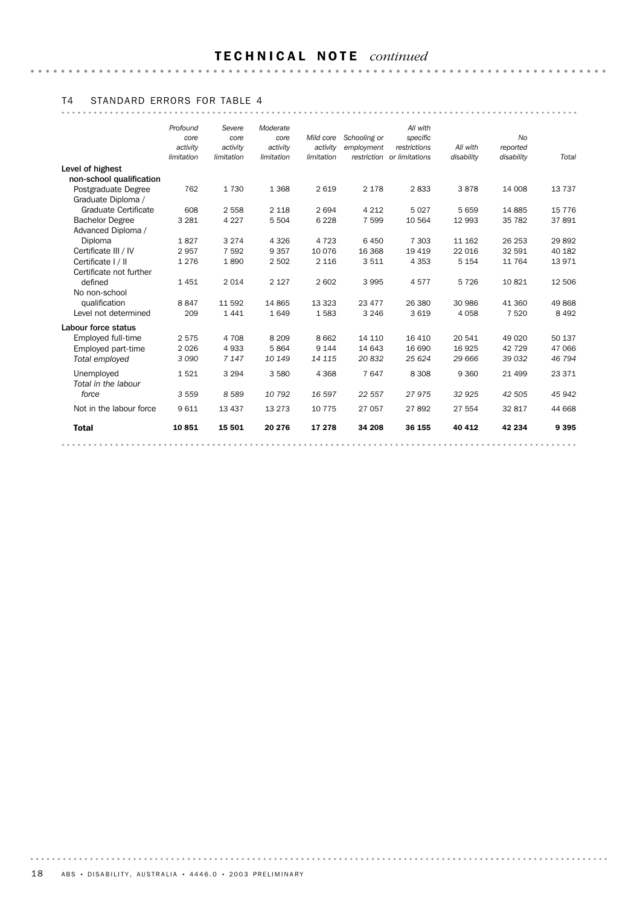# T E C H N I C A L N O T E *continued*

# T4 STANDARD ERRORS FOR TABLE 4

|                                   | Profound<br>core<br>activity<br>limitation | Severe<br>core<br>activity<br>limitation | Moderate<br>core<br>activity<br>limitation | Mild core<br>activity<br>limitation | Schooling or<br>employment | All with<br>specific<br>restrictions<br>restriction or limitations | All with<br>disability | <b>No</b><br>reported<br>disability | Total    |
|-----------------------------------|--------------------------------------------|------------------------------------------|--------------------------------------------|-------------------------------------|----------------------------|--------------------------------------------------------------------|------------------------|-------------------------------------|----------|
| Level of highest                  |                                            |                                          |                                            |                                     |                            |                                                                    |                        |                                     |          |
| non-school qualification          |                                            |                                          |                                            |                                     |                            |                                                                    |                        |                                     |          |
| Postgraduate Degree               | 762                                        | 1730                                     | 1 3 6 8                                    | 2619                                | 2 1 7 8                    | 2833                                                               | 3878                   | 14 008                              | 13 7 37  |
| Graduate Diploma /                |                                            |                                          |                                            |                                     |                            |                                                                    |                        |                                     |          |
| Graduate Certificate              | 608                                        | 2 5 5 8                                  | 2 1 1 8                                    | 2 6 9 4                             | 4 2 1 2                    | 5027                                                               | 5 6 5 9                | 14 8 85                             | 15 7 7 6 |
| <b>Bachelor Degree</b>            | 3 2 8 1                                    | 4 2 2 7                                  | 5 5 0 4                                    | 6 2 2 8                             | 7 5 9 9                    | 10 564                                                             | 12 993                 | 35 782                              | 37891    |
| Advanced Diploma /                |                                            |                                          |                                            |                                     |                            |                                                                    |                        |                                     |          |
| Diploma                           | 1827                                       | 3 2 7 4                                  | 4 3 2 6                                    | 4 7 2 3                             | 6450                       | 7 3 0 3                                                            | 11 162                 | 26 253                              | 29892    |
| Certificate III / IV              | 2957                                       | 7 5 9 2                                  | 9 3 5 7                                    | 10 0 76                             | 16 368                     | 19 4 19                                                            | 22 0 16                | 32 591                              | 40 182   |
| Certificate   /                   | 1 2 7 6                                    | 1890                                     | 2 5 0 2                                    | 2 1 1 6                             | 3511                       | 4 3 5 3                                                            | 5 1 5 4                | 11 764                              | 13971    |
| Certificate not further           |                                            |                                          |                                            |                                     |                            |                                                                    |                        |                                     |          |
| defined                           | 1451                                       | 2014                                     | 2 1 2 7                                    | 2 602                               | 3995                       | 4577                                                               | 5726                   | 10821                               | 12 506   |
| No non-school                     |                                            |                                          |                                            |                                     |                            |                                                                    |                        |                                     |          |
| qualification                     | 8847                                       | 11 592                                   | 14 8 65                                    | 13 3 23                             | 23 477                     | 26 380                                                             | 30 986                 | 41 360                              | 49 868   |
| Level not determined              | 209                                        | 1441                                     | 1649                                       | 1583                                | 3 2 4 6                    | 3619                                                               | 4 0 5 8                | 7 5 20                              | 8 4 9 2  |
| Labour force status               |                                            |                                          |                                            |                                     |                            |                                                                    |                        |                                     |          |
| Employed full-time                | 2575                                       | 4 7 0 8                                  | 8 2 0 9                                    | 8662                                | 14 110                     | 16 4 10                                                            | 20 541                 | 49 0 20                             | 50 137   |
| Employed part-time                | 2026                                       | 4933                                     | 5864                                       | 9 1 4 4                             | 14 643                     | 16 690                                                             | 16 9 25                | 42 729                              | 47 066   |
| Total emploved                    | 3090                                       | 7 1 4 7                                  | 10 149                                     | 14 115                              | 20832                      | 25 6 24                                                            | 29 666                 | 39 032                              | 46 794   |
| Unemployed<br>Total in the labour | 1521                                       | 3 2 9 4                                  | 3 5 8 0                                    | 4 3 6 8                             | 7647                       | 8 3 0 8                                                            | 9 3 6 0                | 21 4 9 9                            | 23 371   |
| force                             | 3559                                       | 8589                                     | 10792                                      | 16 597                              | 22 557                     | 27975                                                              | 32 925                 | 42 505                              | 45 942   |
| Not in the labour force           | 9611                                       | 13 4 37                                  | 13 273                                     | 10 7 7 5                            | 27 057                     | 27892                                                              | 27 554                 | 32 817                              | 44 668   |
| <b>Total</b>                      | 10851                                      | 15 501                                   | 20 276                                     | 17 278                              | 34 208                     | 36 155                                                             | 40 412                 | 42 234                              | 9 3 9 5  |
|                                   |                                            |                                          |                                            |                                     |                            |                                                                    |                        |                                     |          |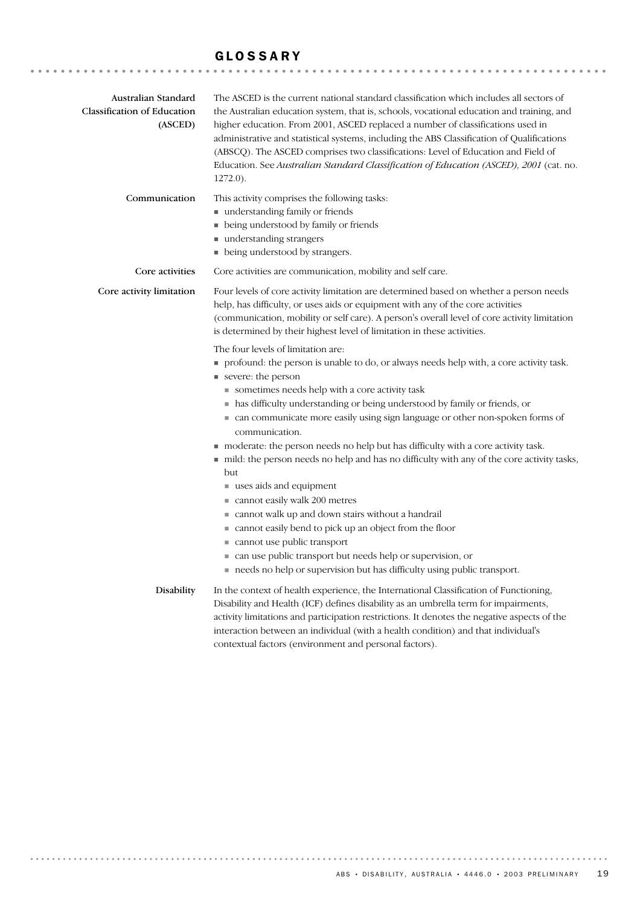### GLOSSARY

| Australian Standard<br><b>Classification of Education</b><br>(ASCED) | The ASCED is the current national standard classification which includes all sectors of<br>the Australian education system, that is, schools, vocational education and training, and<br>higher education. From 2001, ASCED replaced a number of classifications used in<br>administrative and statistical systems, including the ABS Classification of Qualifications<br>(ABSCQ). The ASCED comprises two classifications: Level of Education and Field of<br>Education. See Australian Standard Classification of Education (ASCED), 2001 (cat. no.<br>$1272.0$ ).                                                                                          |
|----------------------------------------------------------------------|--------------------------------------------------------------------------------------------------------------------------------------------------------------------------------------------------------------------------------------------------------------------------------------------------------------------------------------------------------------------------------------------------------------------------------------------------------------------------------------------------------------------------------------------------------------------------------------------------------------------------------------------------------------|
| Communication                                                        | This activity comprises the following tasks:<br>understanding family or friends<br>• being understood by family or friends<br>■ understanding strangers<br>• being understood by strangers.                                                                                                                                                                                                                                                                                                                                                                                                                                                                  |
| Core activities                                                      | Core activities are communication, mobility and self care.                                                                                                                                                                                                                                                                                                                                                                                                                                                                                                                                                                                                   |
| Core activity limitation                                             | Four levels of core activity limitation are determined based on whether a person needs<br>help, has difficulty, or uses aids or equipment with any of the core activities<br>(communication, mobility or self care). A person's overall level of core activity limitation<br>is determined by their highest level of limitation in these activities.                                                                                                                                                                                                                                                                                                         |
|                                                                      | The four levels of limitation are:<br>profound: the person is unable to do, or always needs help with, a core activity task.<br>severe: the person<br>sometimes needs help with a core activity task<br>• has difficulty understanding or being understood by family or friends, or<br>• can communicate more easily using sign language or other non-spoken forms of<br>communication.<br>moderate: the person needs no help but has difficulty with a core activity task.<br>■ mild: the person needs no help and has no difficulty with any of the core activity tasks,<br>but<br>$\blacksquare$ uses aids and equipment<br>cannot easily walk 200 metres |
|                                                                      | ■ cannot walk up and down stairs without a handrail<br>■ cannot easily bend to pick up an object from the floor<br>cannot use public transport<br>can use public transport but needs help or supervision, or<br>needs no help or supervision but has difficulty using public transport.                                                                                                                                                                                                                                                                                                                                                                      |
| Disability                                                           | In the context of health experience, the International Classification of Functioning,<br>Disability and Health (ICF) defines disability as an umbrella term for impairments,<br>activity limitations and participation restrictions. It denotes the negative aspects of the<br>interaction between an individual (with a health condition) and that individual's<br>contextual factors (environment and personal factors).                                                                                                                                                                                                                                   |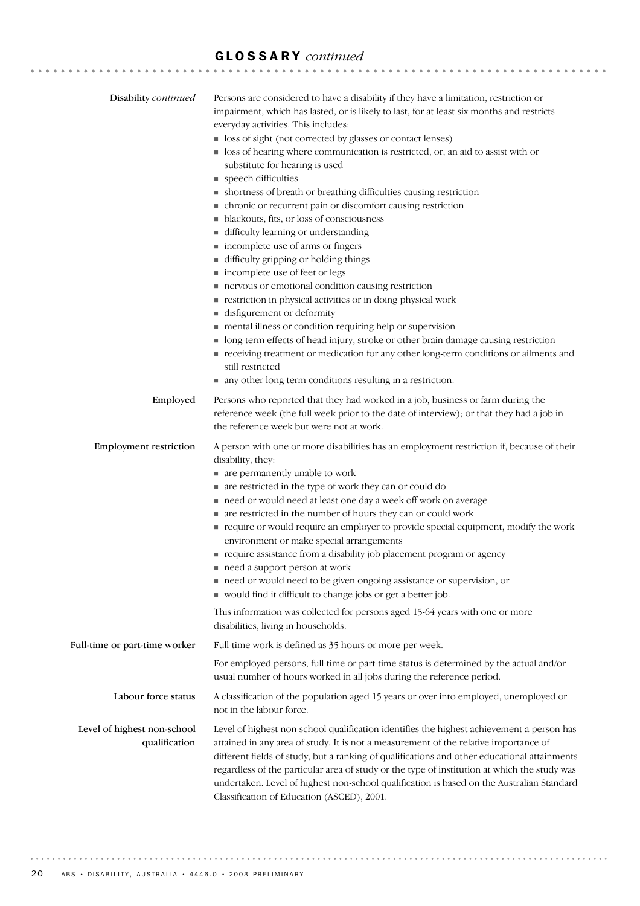# GLOSSARY *continued*

|                               | Persons are considered to have a disability if they have a limitation, restriction or                              |
|-------------------------------|--------------------------------------------------------------------------------------------------------------------|
| Disability continued          | impairment, which has lasted, or is likely to last, for at least six months and restricts                          |
|                               | everyday activities. This includes:                                                                                |
|                               | loss of sight (not corrected by glasses or contact lenses)                                                         |
|                               | • loss of hearing where communication is restricted, or, an aid to assist with or                                  |
|                               | substitute for hearing is used                                                                                     |
|                               | • speech difficulties                                                                                              |
|                               | • shortness of breath or breathing difficulties causing restriction                                                |
|                               | • chronic or recurrent pain or discomfort causing restriction                                                      |
|                               | • blackouts, fits, or loss of consciousness                                                                        |
|                               | difficulty learning or understanding<br>■ incomplete use of arms or fingers                                        |
|                               | difficulty gripping or holding things                                                                              |
|                               | ■ incomplete use of feet or legs                                                                                   |
|                               | nervous or emotional condition causing restriction                                                                 |
|                               | restriction in physical activities or in doing physical work                                                       |
|                               | disfigurement or deformity                                                                                         |
|                               | mental illness or condition requiring help or supervision                                                          |
|                               | • long-term effects of head injury, stroke or other brain damage causing restriction                               |
|                               | receiving treatment or medication for any other long-term conditions or ailments and                               |
|                               | still restricted                                                                                                   |
|                               | • any other long-term conditions resulting in a restriction.                                                       |
| Employed                      | Persons who reported that they had worked in a job, business or farm during the                                    |
|                               | reference week (the full week prior to the date of interview); or that they had a job in                           |
|                               | the reference week but were not at work.                                                                           |
| <b>Employment restriction</b> | A person with one or more disabilities has an employment restriction if, because of their                          |
|                               | disability, they:                                                                                                  |
|                               | • are permanently unable to work                                                                                   |
|                               | • are restricted in the type of work they can or could do                                                          |
|                               | need or would need at least one day a week off work on average                                                     |
|                               | • are restricted in the number of hours they can or could work                                                     |
|                               | require or would require an employer to provide special equipment, modify the work                                 |
|                               | environment or make special arrangements<br>• require assistance from a disability job placement program or agency |
|                               | need a support person at work                                                                                      |
|                               | need or would need to be given ongoing assistance or supervision, or                                               |
|                               | would find it difficult to change jobs or get a better job.                                                        |
|                               | This information was collected for persons aged 15-64 years with one or more                                       |
|                               | disabilities, living in households.                                                                                |
| Full-time or part-time worker | Full-time work is defined as 35 hours or more per week.                                                            |
|                               | For employed persons, full-time or part-time status is determined by the actual and/or                             |
|                               | usual number of hours worked in all jobs during the reference period.                                              |
| Labour force status           | A classification of the population aged 15 years or over into employed, unemployed or                              |
|                               | not in the labour force.                                                                                           |
| Level of highest non-school   | Level of highest non-school qualification identifies the highest achievement a person has                          |
| qualification                 | attained in any area of study. It is not a measurement of the relative importance of                               |
|                               | different fields of study, but a ranking of qualifications and other educational attainments                       |
|                               | regardless of the particular area of study or the type of institution at which the study was                       |
|                               | undertaken. Level of highest non-school qualification is based on the Australian Standard                          |
|                               | Classification of Education (ASCED), 2001.                                                                         |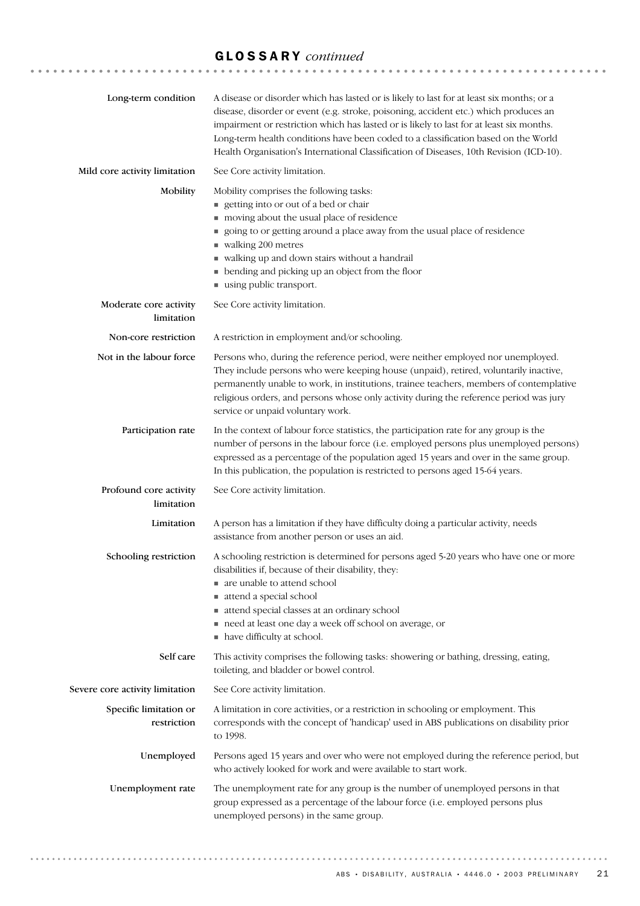# GLOSSARY *continued*

| Long-term condition                   | A disease or disorder which has lasted or is likely to last for at least six months; or a<br>disease, disorder or event (e.g. stroke, poisoning, accident etc.) which produces an<br>impairment or restriction which has lasted or is likely to last for at least six months.<br>Long-term health conditions have been coded to a classification based on the World<br>Health Organisation's International Classification of Diseases, 10th Revision (ICD-10). |
|---------------------------------------|----------------------------------------------------------------------------------------------------------------------------------------------------------------------------------------------------------------------------------------------------------------------------------------------------------------------------------------------------------------------------------------------------------------------------------------------------------------|
| Mild core activity limitation         | See Core activity limitation.                                                                                                                                                                                                                                                                                                                                                                                                                                  |
| Mobility                              | Mobility comprises the following tasks:<br>getting into or out of a bed or chair<br>moving about the usual place of residence<br>going to or getting around a place away from the usual place of residence<br>walking 200 metres<br>٠<br>valking up and down stairs without a handrail<br>• bending and picking up an object from the floor<br>using public transport.                                                                                         |
| Moderate core activity<br>limitation  | See Core activity limitation.                                                                                                                                                                                                                                                                                                                                                                                                                                  |
| Non-core restriction                  | A restriction in employment and/or schooling.                                                                                                                                                                                                                                                                                                                                                                                                                  |
| Not in the labour force               | Persons who, during the reference period, were neither employed nor unemployed.<br>They include persons who were keeping house (unpaid), retired, voluntarily inactive,<br>permanently unable to work, in institutions, trainee teachers, members of contemplative<br>religious orders, and persons whose only activity during the reference period was jury<br>service or unpaid voluntary work.                                                              |
| Participation rate                    | In the context of labour force statistics, the participation rate for any group is the<br>number of persons in the labour force (i.e. employed persons plus unemployed persons)<br>expressed as a percentage of the population aged 15 years and over in the same group.<br>In this publication, the population is restricted to persons aged 15-64 years.                                                                                                     |
| Profound core activity<br>limitation  | See Core activity limitation.                                                                                                                                                                                                                                                                                                                                                                                                                                  |
| Limitation                            | A person has a limitation if they have difficulty doing a particular activity, needs<br>assistance from another person or uses an aid.                                                                                                                                                                                                                                                                                                                         |
| Schooling restriction                 | A schooling restriction is determined for persons aged 5-20 years who have one or more<br>disabilities if, because of their disability, they:<br>■ are unable to attend school<br>attend a special school<br>attend special classes at an ordinary school<br>need at least one day a week off school on average, or<br>• have difficulty at school.                                                                                                            |
| Self care                             | This activity comprises the following tasks: showering or bathing, dressing, eating,<br>toileting, and bladder or bowel control.                                                                                                                                                                                                                                                                                                                               |
| Severe core activity limitation       | See Core activity limitation.                                                                                                                                                                                                                                                                                                                                                                                                                                  |
| Specific limitation or<br>restriction | A limitation in core activities, or a restriction in schooling or employment. This<br>corresponds with the concept of 'handicap' used in ABS publications on disability prior<br>to 1998.                                                                                                                                                                                                                                                                      |
| Unemployed                            | Persons aged 15 years and over who were not employed during the reference period, but<br>who actively looked for work and were available to start work.                                                                                                                                                                                                                                                                                                        |
| Unemployment rate                     | The unemployment rate for any group is the number of unemployed persons in that<br>group expressed as a percentage of the labour force (i.e. employed persons plus<br>unemployed persons) in the same group.                                                                                                                                                                                                                                                   |